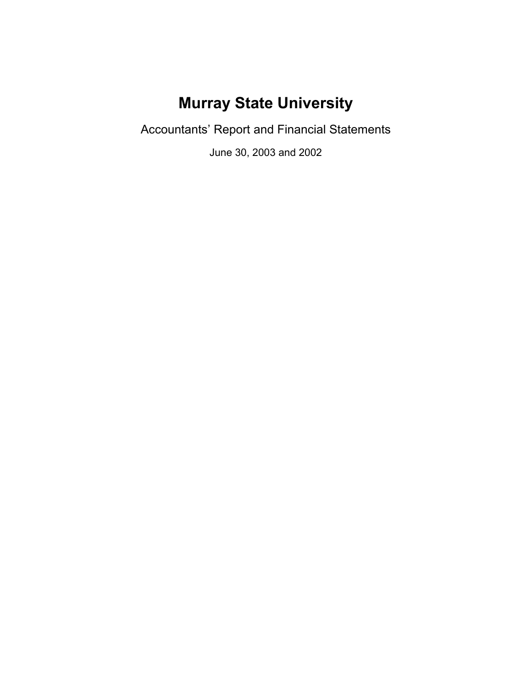# **Murray State University**

Accountants' Report and Financial Statements

June 30, 2003 and 2002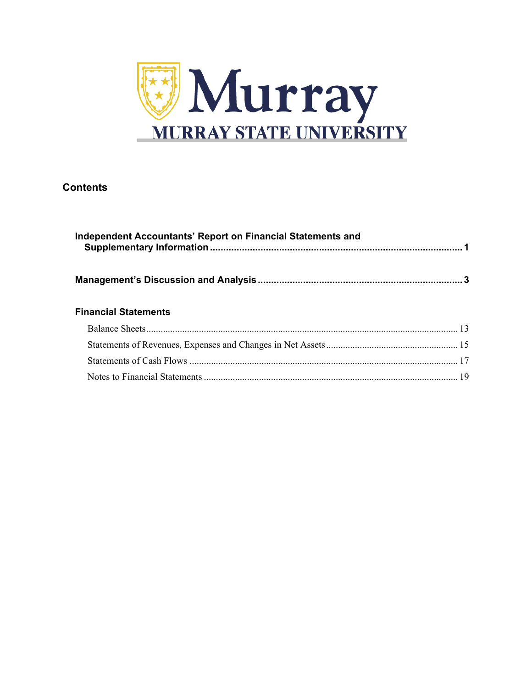

## **Contents**

| Independent Accountants' Report on Financial Statements and |  |
|-------------------------------------------------------------|--|
|                                                             |  |
| <b>Financial Statements</b>                                 |  |
|                                                             |  |
|                                                             |  |
|                                                             |  |
|                                                             |  |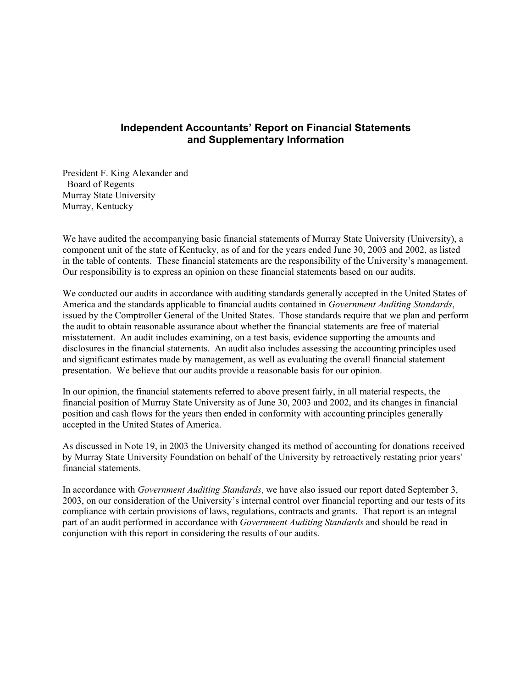### **Independent Accountants' Report on Financial Statements and Supplementary Information**

President F. King Alexander and Board of Regents Murray State University Murray, Kentucky

We have audited the accompanying basic financial statements of Murray State University (University), a component unit of the state of Kentucky, as of and for the years ended June 30, 2003 and 2002, as listed in the table of contents. These financial statements are the responsibility of the University's management. Our responsibility is to express an opinion on these financial statements based on our audits.

We conducted our audits in accordance with auditing standards generally accepted in the United States of America and the standards applicable to financial audits contained in *Government Auditing Standards*, issued by the Comptroller General of the United States. Those standards require that we plan and perform the audit to obtain reasonable assurance about whether the financial statements are free of material misstatement. An audit includes examining, on a test basis, evidence supporting the amounts and disclosures in the financial statements. An audit also includes assessing the accounting principles used and significant estimates made by management, as well as evaluating the overall financial statement presentation. We believe that our audits provide a reasonable basis for our opinion.

In our opinion, the financial statements referred to above present fairly, in all material respects, the financial position of Murray State University as of June 30, 2003 and 2002, and its changes in financial position and cash flows for the years then ended in conformity with accounting principles generally accepted in the United States of America.

As discussed in Note 19, in 2003 the University changed its method of accounting for donations received by Murray State University Foundation on behalf of the University by retroactively restating prior years' financial statements.

In accordance with *Government Auditing Standards*, we have also issued our report dated September 3, 2003, on our consideration of the University's internal control over financial reporting and our tests of its compliance with certain provisions of laws, regulations, contracts and grants. That report is an integral part of an audit performed in accordance with *Government Auditing Standards* and should be read in conjunction with this report in considering the results of our audits.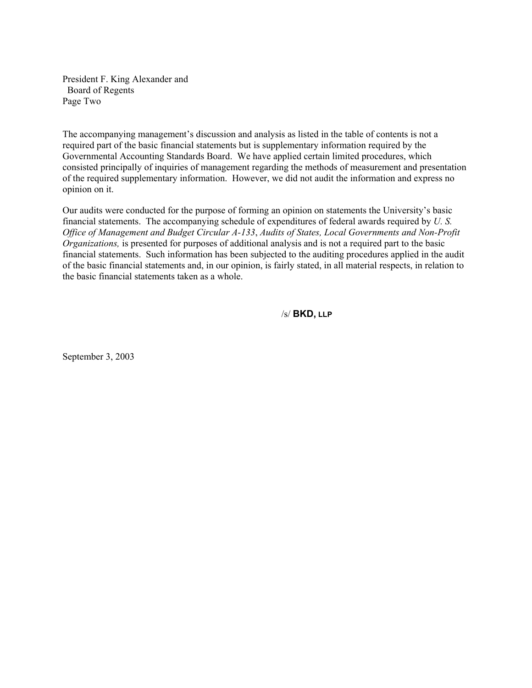President F. King Alexander and Board of Regents Page Two

The accompanying management's discussion and analysis as listed in the table of contents is not a required part of the basic financial statements but is supplementary information required by the Governmental Accounting Standards Board. We have applied certain limited procedures, which consisted principally of inquiries of management regarding the methods of measurement and presentation of the required supplementary information. However, we did not audit the information and express no opinion on it.

Our audits were conducted for the purpose of forming an opinion on statements the University's basic financial statements. The accompanying schedule of expenditures of federal awards required by *U. S. Office of Management and Budget Circular A-133*, *Audits of States, Local Governments and Non-Profit Organizations,* is presented for purposes of additional analysis and is not a required part to the basic financial statements. Such information has been subjected to the auditing procedures applied in the audit of the basic financial statements and, in our opinion, is fairly stated, in all material respects, in relation to the basic financial statements taken as a whole.

/s/ **BKD, LLP**

September 3, 2003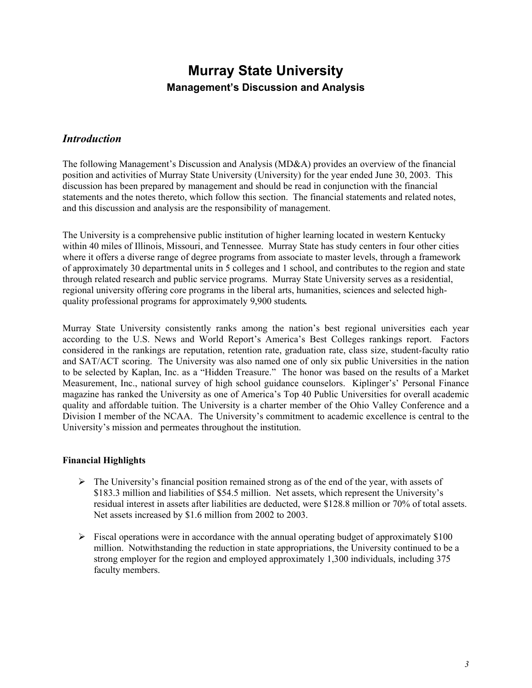### *Introduction*

The following Management's Discussion and Analysis (MD&A) provides an overview of the financial position and activities of Murray State University (University) for the year ended June 30, 2003. This discussion has been prepared by management and should be read in conjunction with the financial statements and the notes thereto, which follow this section. The financial statements and related notes, and this discussion and analysis are the responsibility of management.

The University is a comprehensive public institution of higher learning located in western Kentucky within 40 miles of Illinois, Missouri, and Tennessee. Murray State has study centers in four other cities where it offers a diverse range of degree programs from associate to master levels, through a framework of approximately 30 departmental units in 5 colleges and 1 school, and contributes to the region and state through related research and public service programs. Murray State University serves as a residential, regional university offering core programs in the liberal arts, humanities, sciences and selected highquality professional programs for approximately 9,900 students*.*

Murray State University consistently ranks among the nation's best regional universities each year according to the U.S. News and World Report's America's Best Colleges rankings report. Factors considered in the rankings are reputation, retention rate, graduation rate, class size, student-faculty ratio and SAT/ACT scoring. The University was also named one of only six public Universities in the nation to be selected by Kaplan, Inc. as a "Hidden Treasure." The honor was based on the results of a Market Measurement, Inc., national survey of high school guidance counselors. Kiplinger's' Personal Finance magazine has ranked the University as one of America's Top 40 Public Universities for overall academic quality and affordable tuition. The University is a charter member of the Ohio Valley Conference and a Division I member of the NCAA. The University's commitment to academic excellence is central to the University's mission and permeates throughout the institution.

### **Financial Highlights**

- $\triangleright$  The University's financial position remained strong as of the end of the year, with assets of \$183.3 million and liabilities of \$54.5 million. Net assets, which represent the University's residual interest in assets after liabilities are deducted, were \$128.8 million or 70% of total assets. Net assets increased by \$1.6 million from 2002 to 2003.
- $\triangleright$  Fiscal operations were in accordance with the annual operating budget of approximately \$100 million. Notwithstanding the reduction in state appropriations, the University continued to be a strong employer for the region and employed approximately 1,300 individuals, including 375 faculty members.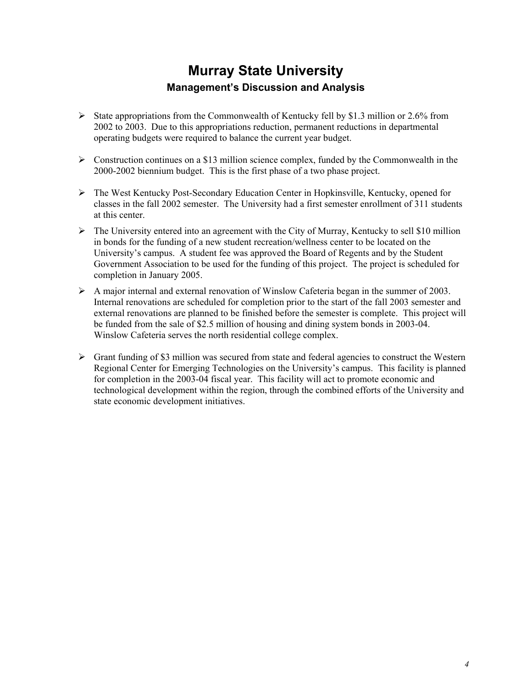- $\triangleright$  State appropriations from the Commonwealth of Kentucky fell by \$1.3 million or 2.6% from 2002 to 2003. Due to this appropriations reduction, permanent reductions in departmental operating budgets were required to balance the current year budget.
- $\triangleright$  Construction continues on a \$13 million science complex, funded by the Commonwealth in the 2000-2002 biennium budget. This is the first phase of a two phase project.
- ¾ The West Kentucky Post-Secondary Education Center in Hopkinsville, Kentucky, opened for classes in the fall 2002 semester. The University had a first semester enrollment of 311 students at this center.
- $\triangleright$  The University entered into an agreement with the City of Murray, Kentucky to sell \$10 million in bonds for the funding of a new student recreation/wellness center to be located on the University's campus. A student fee was approved the Board of Regents and by the Student Government Association to be used for the funding of this project. The project is scheduled for completion in January 2005.
- $\triangleright$  A major internal and external renovation of Winslow Cafeteria began in the summer of 2003. Internal renovations are scheduled for completion prior to the start of the fall 2003 semester and external renovations are planned to be finished before the semester is complete. This project will be funded from the sale of \$2.5 million of housing and dining system bonds in 2003-04. Winslow Cafeteria serves the north residential college complex.
- $\triangleright$  Grant funding of \$3 million was secured from state and federal agencies to construct the Western Regional Center for Emerging Technologies on the University's campus. This facility is planned for completion in the 2003-04 fiscal year. This facility will act to promote economic and technological development within the region, through the combined efforts of the University and state economic development initiatives.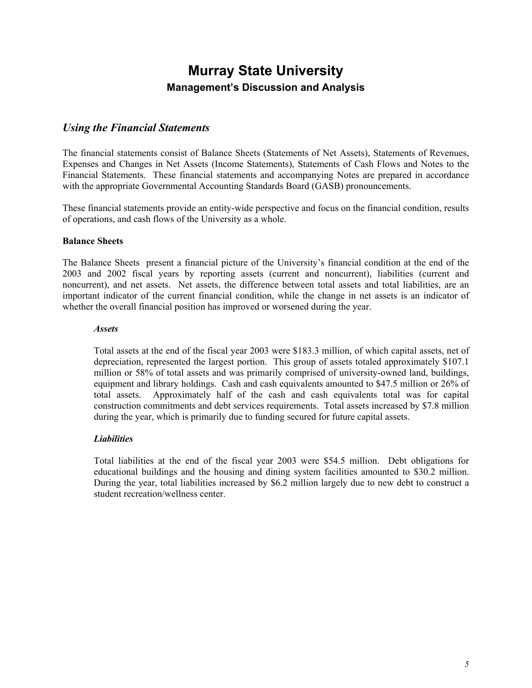### *Using the Financial Statements*

The financial statements consist of Balance Sheets (Statements of Net Assets), Statements of Revenues, Expenses and Changes in Net Assets (Income Statements), Statements of Cash Flows and Notes to the Financial Statements. These financial statements and accompanying Notes are prepared in accordance with the appropriate Governmental Accounting Standards Board (GASB) pronouncements.

These financial statements provide an entity-wide perspective and focus on the financial condition, results of operations, and cash flows of the University as a whole.

#### **Balance Sheets**

The Balance Sheets present a financial picture of the University's financial condition at the end of the 2003 and 2002 fiscal years by reporting assets (current and noncurrent), liabilities (current and noncurrent), and net assets. Net assets, the difference between total assets and total liabilities, are an important indicator of the current financial condition, while the change in net assets is an indicator of whether the overall financial position has improved or worsened during the year.

#### *Assets*

Total assets at the end of the fiscal year 2003 were \$183.3 million, of which capital assets, net of depreciation, represented the largest portion. This group of assets totaled approximately \$107.1 million or 58% of total assets and was primarily comprised of university-owned land, buildings, equipment and library holdings. Cash and cash equivalents amounted to \$47.5 million or 26% of total assets. Approximately half of the cash and cash equivalents total was for capital construction commitments and debt services requirements. Total assets increased by \$7.8 million during the year, which is primarily due to funding secured for future capital assets.

#### *Liabilities*

Total liabilities at the end of the fiscal year 2003 were \$54.5 million. Debt obligations for educational buildings and the housing and dining system facilities amounted to \$30.2 million. During the year, total liabilities increased by \$6.2 million largely due to new debt to construct a student recreation/wellness center.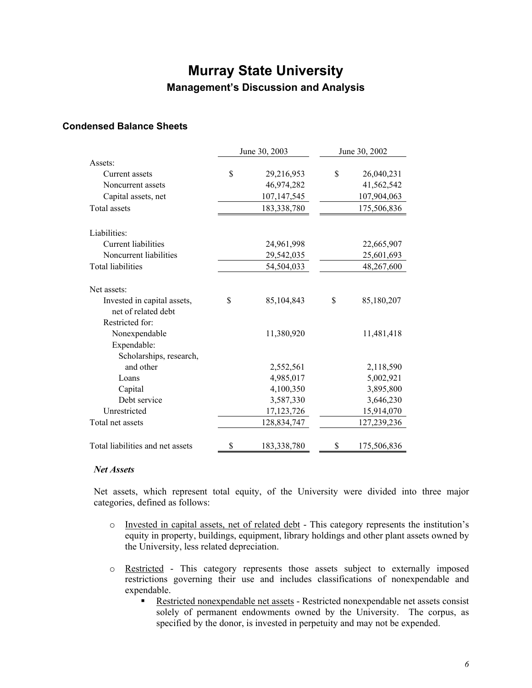### **Condensed Balance Sheets**

|                                                    | June 30, 2003     | June 30, 2002     |
|----------------------------------------------------|-------------------|-------------------|
| Assets:                                            |                   |                   |
| Current assets                                     | \$<br>29,216,953  | \$<br>26,040,231  |
| Noncurrent assets                                  | 46,974,282        | 41,562,542        |
| Capital assets, net                                | 107, 147, 545     | 107,904,063       |
| Total assets                                       | 183,338,780       | 175,506,836       |
| Liabilities:                                       |                   |                   |
| <b>Current liabilities</b>                         | 24,961,998        | 22,665,907        |
| Noncurrent liabilities                             | 29,542,035        | 25,601,693        |
| <b>Total liabilities</b>                           | 54,504,033        | 48,267,600        |
| Net assets:                                        |                   |                   |
| Invested in capital assets,<br>net of related debt | \$<br>85,104,843  | \$<br>85,180,207  |
| Restricted for:                                    |                   |                   |
| Nonexpendable                                      | 11,380,920        | 11,481,418        |
| Expendable:                                        |                   |                   |
| Scholarships, research,                            |                   |                   |
| and other                                          | 2,552,561         | 2,118,590         |
| Loans                                              | 4,985,017         | 5,002,921         |
| Capital                                            | 4,100,350         | 3,895,800         |
| Debt service                                       | 3,587,330         | 3,646,230         |
| Unrestricted                                       | 17, 123, 726      | 15,914,070        |
| Total net assets                                   | 128,834,747       | 127,239,236       |
| Total liabilities and net assets                   | \$<br>183,338,780 | \$<br>175,506,836 |

#### *Net Assets*

Net assets, which represent total equity, of the University were divided into three major categories, defined as follows:

- o Invested in capital assets, net of related debt This category represents the institution's equity in property, buildings, equipment, library holdings and other plant assets owned by the University, less related depreciation.
- o Restricted This category represents those assets subject to externally imposed restrictions governing their use and includes classifications of nonexpendable and expendable.
	- Restricted nonexpendable net assets Restricted nonexpendable net assets consist solely of permanent endowments owned by the University. The corpus, as specified by the donor, is invested in perpetuity and may not be expended.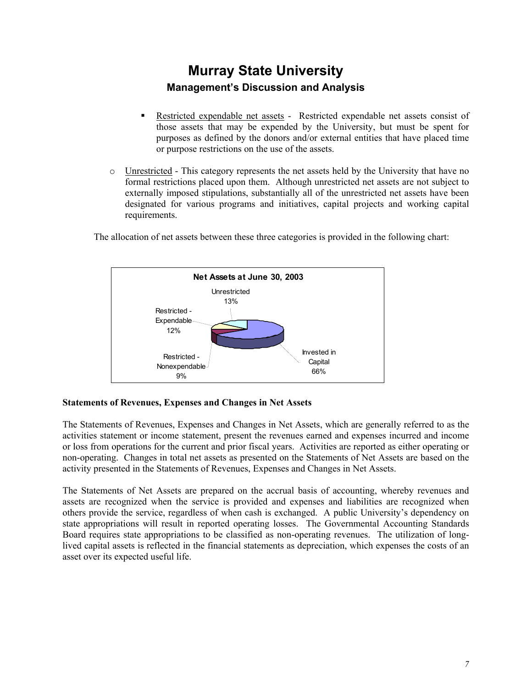- Restricted expendable net assets Restricted expendable net assets consist of those assets that may be expended by the University, but must be spent for purposes as defined by the donors and/or external entities that have placed time or purpose restrictions on the use of the assets.
- o Unrestricted This category represents the net assets held by the University that have no formal restrictions placed upon them. Although unrestricted net assets are not subject to externally imposed stipulations, substantially all of the unrestricted net assets have been designated for various programs and initiatives, capital projects and working capital requirements.

**Net Assets at June 30, 2003** Restricted - Nonexpendable 9% Restricted - Expendable 12% Unrestricted 13% Invested in **Capital** 66%

The allocation of net assets between these three categories is provided in the following chart:

#### **Statements of Revenues, Expenses and Changes in Net Assets**

The Statements of Revenues, Expenses and Changes in Net Assets, which are generally referred to as the activities statement or income statement, present the revenues earned and expenses incurred and income or loss from operations for the current and prior fiscal years. Activities are reported as either operating or non-operating. Changes in total net assets as presented on the Statements of Net Assets are based on the activity presented in the Statements of Revenues, Expenses and Changes in Net Assets.

The Statements of Net Assets are prepared on the accrual basis of accounting, whereby revenues and assets are recognized when the service is provided and expenses and liabilities are recognized when others provide the service, regardless of when cash is exchanged. A public University's dependency on state appropriations will result in reported operating losses. The Governmental Accounting Standards Board requires state appropriations to be classified as non-operating revenues. The utilization of longlived capital assets is reflected in the financial statements as depreciation, which expenses the costs of an asset over its expected useful life.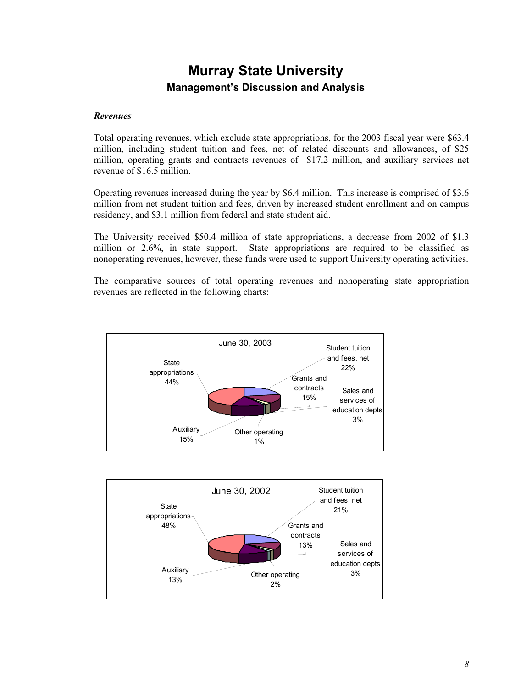#### *Revenues*

Total operating revenues, which exclude state appropriations, for the 2003 fiscal year were \$63.4 million, including student tuition and fees, net of related discounts and allowances, of \$25 million, operating grants and contracts revenues of \$17.2 million, and auxiliary services net revenue of \$16.5 million.

Operating revenues increased during the year by \$6.4 million. This increase is comprised of \$3.6 million from net student tuition and fees, driven by increased student enrollment and on campus residency, and \$3.1 million from federal and state student aid.

The University received \$50.4 million of state appropriations, a decrease from 2002 of \$1.3 million or 2.6%, in state support. State appropriations are required to be classified as nonoperating revenues, however, these funds were used to support University operating activities.

The comparative sources of total operating revenues and nonoperating state appropriation revenues are reflected in the following charts:



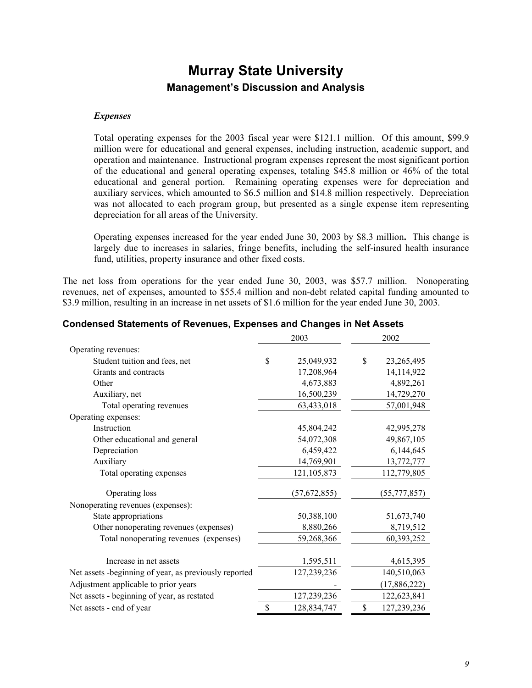#### *Expenses*

Total operating expenses for the 2003 fiscal year were \$121.1 million. Of this amount, \$99.9 million were for educational and general expenses, including instruction, academic support, and operation and maintenance. Instructional program expenses represent the most significant portion of the educational and general operating expenses, totaling \$45.8 million or 46% of the total educational and general portion. Remaining operating expenses were for depreciation and auxiliary services, which amounted to \$6.5 million and \$14.8 million respectively. Depreciation was not allocated to each program group, but presented as a single expense item representing depreciation for all areas of the University.

Operating expenses increased for the year ended June 30, 2003 by \$8.3 million**.** This change is largely due to increases in salaries, fringe benefits, including the self-insured health insurance fund, utilities, property insurance and other fixed costs.

The net loss from operations for the year ended June 30, 2003, was \$57.7 million. Nonoperating revenues, net of expenses, amounted to \$55.4 million and non-debt related capital funding amounted to \$3.9 million, resulting in an increase in net assets of \$1.6 million for the year ended June 30, 2003.

|                                                       | 2003              | 2002              |
|-------------------------------------------------------|-------------------|-------------------|
| Operating revenues:                                   |                   |                   |
| Student tuition and fees, net                         | \$<br>25,049,932  | \$<br>23,265,495  |
| Grants and contracts                                  | 17,208,964        | 14,114,922        |
| Other                                                 | 4,673,883         | 4,892,261         |
| Auxiliary, net                                        | 16,500,239        | 14,729,270        |
| Total operating revenues                              | 63,433,018        | 57,001,948        |
| Operating expenses:                                   |                   |                   |
| Instruction                                           | 45,804,242        | 42,995,278        |
| Other educational and general                         | 54,072,308        | 49,867,105        |
| Depreciation                                          | 6,459,422         | 6,144,645         |
| Auxiliary                                             | 14,769,901        | 13,772,777        |
| Total operating expenses                              | 121, 105, 873     | 112,779,805       |
| Operating loss                                        | (57, 672, 855)    | (55, 777, 857)    |
| Nonoperating revenues (expenses):                     |                   |                   |
| State appropriations                                  | 50,388,100        | 51,673,740        |
| Other nonoperating revenues (expenses)                | 8,880,266         | 8,719,512         |
| Total nonoperating revenues (expenses)                | 59,268,366        | 60,393,252        |
| Increase in net assets                                | 1,595,511         | 4,615,395         |
| Net assets -beginning of year, as previously reported | 127,239,236       | 140,510,063       |
| Adjustment applicable to prior years                  |                   | (17,886,222)      |
| Net assets - beginning of year, as restated           | 127,239,236       | 122,623,841       |
| Net assets - end of year                              | \$<br>128,834,747 | \$<br>127,239,236 |
|                                                       |                   |                   |

#### **Condensed Statements of Revenues, Expenses and Changes in Net Assets**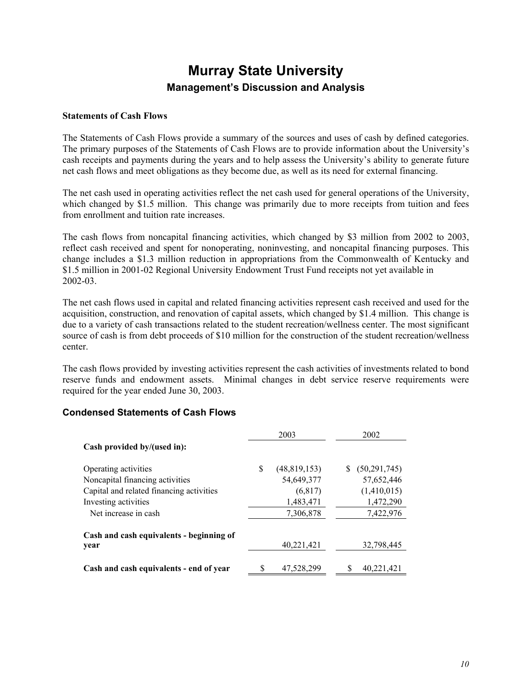#### **Statements of Cash Flows**

The Statements of Cash Flows provide a summary of the sources and uses of cash by defined categories. The primary purposes of the Statements of Cash Flows are to provide information about the University's cash receipts and payments during the years and to help assess the University's ability to generate future net cash flows and meet obligations as they become due, as well as its need for external financing.

The net cash used in operating activities reflect the net cash used for general operations of the University, which changed by \$1.5 million. This change was primarily due to more receipts from tuition and fees from enrollment and tuition rate increases.

The cash flows from noncapital financing activities, which changed by \$3 million from 2002 to 2003, reflect cash received and spent for nonoperating, noninvesting, and noncapital financing purposes. This change includes a \$1.3 million reduction in appropriations from the Commonwealth of Kentucky and \$1.5 million in 2001-02 Regional University Endowment Trust Fund receipts not yet available in 2002-03.

The net cash flows used in capital and related financing activities represent cash received and used for the acquisition, construction, and renovation of capital assets, which changed by \$1.4 million. This change is due to a variety of cash transactions related to the student recreation/wellness center. The most significant source of cash is from debt proceeds of \$10 million for the construction of the student recreation/wellness center.

The cash flows provided by investing activities represent the cash activities of investments related to bond reserve funds and endowment assets. Minimal changes in debt service reserve requirements were required for the year ended June 30, 2003.

#### **Condensed Statements of Cash Flows**

|                                          |     | 2003           | 2002            |
|------------------------------------------|-----|----------------|-----------------|
| Cash provided by/(used in):              |     |                |                 |
| Operating activities                     | \$. | (48, 819, 153) | \$ (50,291,745) |
| Noncapital financing activities          |     | 54,649,377     | 57,652,446      |
| Capital and related financing activities |     | (6, 817)       | (1,410,015)     |
| Investing activities                     |     | 1,483,471      | 1,472,290       |
| Net increase in cash                     |     | 7,306,878      | 7,422,976       |
| Cash and cash equivalents - beginning of |     |                |                 |
| year                                     |     | 40,221,421     | 32,798,445      |
| Cash and cash equivalents - end of year  | S   | 47,528,299     | 40.221.421      |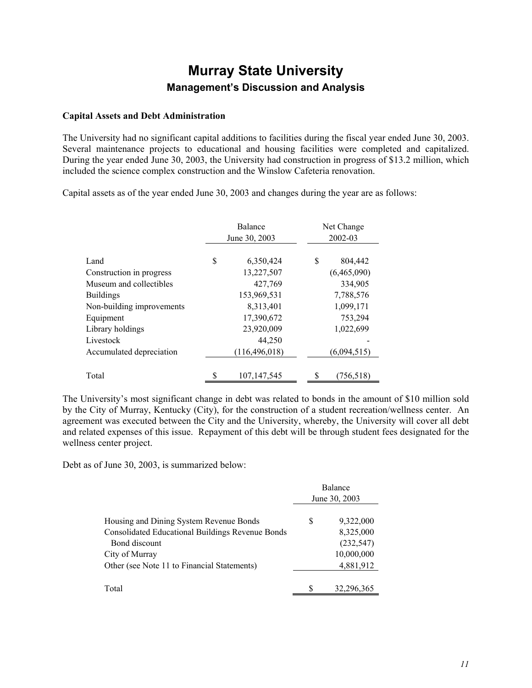#### **Capital Assets and Debt Administration**

The University had no significant capital additions to facilities during the fiscal year ended June 30, 2003. Several maintenance projects to educational and housing facilities were completed and capitalized. During the year ended June 30, 2003, the University had construction in progress of \$13.2 million, which included the science complex construction and the Winslow Cafeteria renovation.

Capital assets as of the year ended June 30, 2003 and changes during the year are as follows:

|                                  | <b>Balance</b><br>June 30, 2003 |                         | Net Change<br>2002-03        |
|----------------------------------|---------------------------------|-------------------------|------------------------------|
| Land<br>Construction in progress | S                               | 6,350,424<br>13,227,507 | \$<br>804,442<br>(6,465,090) |
| Museum and collectibles          |                                 | 427,769                 | 334,905                      |
| <b>Buildings</b>                 |                                 | 153,969,531             | 7,788,576                    |
| Non-building improvements        |                                 | 8,313,401               | 1,099,171                    |
| Equipment                        |                                 | 17,390,672              | 753,294                      |
| Library holdings                 |                                 | 23,920,009              | 1,022,699                    |
| Livestock                        |                                 | 44,250                  |                              |
| Accumulated depreciation         |                                 | (116, 496, 018)         | (6,094,515)                  |
| Total                            |                                 | 107, 147, 545           | (756,518)                    |

The University's most significant change in debt was related to bonds in the amount of \$10 million sold by the City of Murray, Kentucky (City), for the construction of a student recreation/wellness center. An agreement was executed between the City and the University, whereby, the University will cover all debt and related expenses of this issue. Repayment of this debt will be through student fees designated for the wellness center project.

Debt as of June 30, 2003, is summarized below:

|                                                         | Balance<br>June 30, 2003 |            |  |  |
|---------------------------------------------------------|--------------------------|------------|--|--|
| Housing and Dining System Revenue Bonds                 | S                        | 9,322,000  |  |  |
| <b>Consolidated Educational Buildings Revenue Bonds</b> |                          | 8,325,000  |  |  |
| Bond discount                                           |                          | (232, 547) |  |  |
| City of Murray                                          |                          | 10,000,000 |  |  |
| Other (see Note 11 to Financial Statements)             |                          | 4,881,912  |  |  |
| Total                                                   |                          | 32,296,365 |  |  |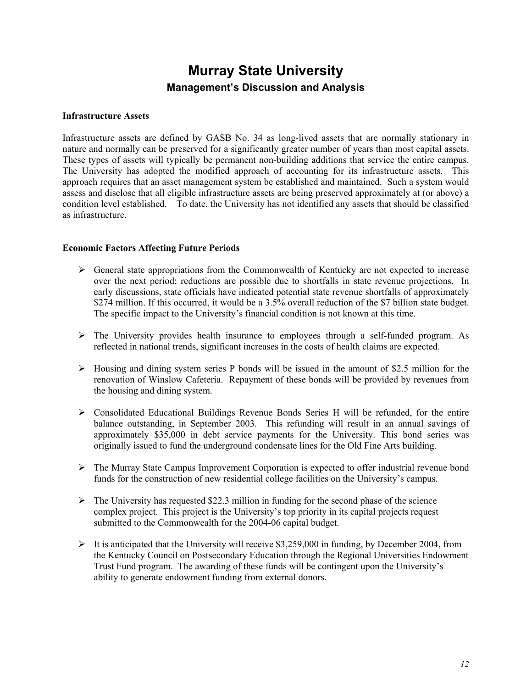#### **Infrastructure Assets**

Infrastructure assets are defined by GASB No. 34 as long-lived assets that are normally stationary in nature and normally can be preserved for a significantly greater number of years than most capital assets. These types of assets will typically be permanent non-building additions that service the entire campus. The University has adopted the modified approach of accounting for its infrastructure assets. This approach requires that an asset management system be established and maintained. Such a system would assess and disclose that all eligible infrastructure assets are being preserved approximately at (or above) a condition level established. To date, the University has not identified any assets that should be classified as infrastructure.

#### **Economic Factors Affecting Future Periods**

- $\triangleright$  General state appropriations from the Commonwealth of Kentucky are not expected to increase over the next period; reductions are possible due to shortfalls in state revenue projections. In early discussions, state officials have indicated potential state revenue shortfalls of approximately \$274 million. If this occurred, it would be a 3.5% overall reduction of the \$7 billion state budget. The specific impact to the University's financial condition is not known at this time.
- $\triangleright$  The University provides health insurance to employees through a self-funded program. As reflected in national trends, significant increases in the costs of health claims are expected.
- $\triangleright$  Housing and dining system series P bonds will be issued in the amount of \$2.5 million for the renovation of Winslow Cafeteria. Repayment of these bonds will be provided by revenues from the housing and dining system.
- $\triangleright$  Consolidated Educational Buildings Revenue Bonds Series H will be refunded, for the entire balance outstanding, in September 2003. This refunding will result in an annual savings of approximately \$35,000 in debt service payments for the University. This bond series was originally issued to fund the underground condensate lines for the Old Fine Arts building.
- $\triangleright$  The Murray State Campus Improvement Corporation is expected to offer industrial revenue bond funds for the construction of new residential college facilities on the University's campus.
- $\triangleright$  The University has requested \$22.3 million in funding for the second phase of the science complex project. This project is the University's top priority in its capital projects request submitted to the Commonwealth for the 2004-06 capital budget.
- $\blacktriangleright$  It is anticipated that the University will receive \$3,259,000 in funding, by December 2004, from the Kentucky Council on Postsecondary Education through the Regional Universities Endowment Trust Fund program. The awarding of these funds will be contingent upon the University's ability to generate endowment funding from external donors.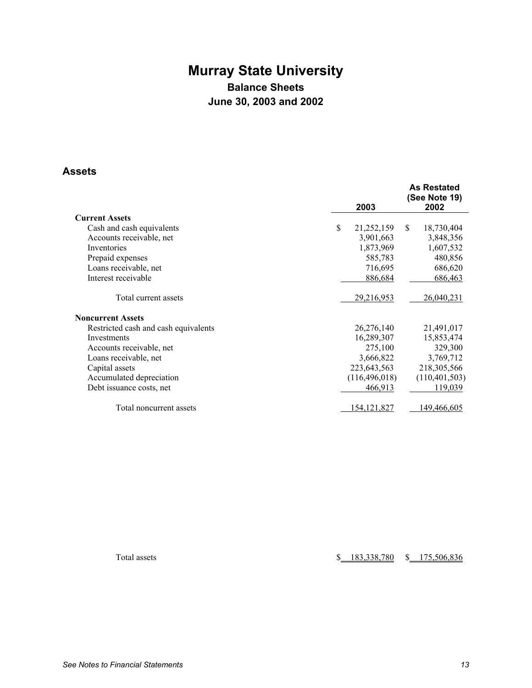# **Murray State University Balance Sheets June 30, 2003 and 2002**

### **Assets**

|                                      |      |                 | <b>As Restated</b><br>(See Note 19) |
|--------------------------------------|------|-----------------|-------------------------------------|
| <b>Current Assets</b>                | 2003 |                 | 2002                                |
|                                      |      |                 |                                     |
| Cash and cash equivalents            | \$   | 21,252,159      | \$.<br>18,730,404                   |
| Accounts receivable, net             |      | 3,901,663       | 3,848,356                           |
| Inventories                          |      | 1,873,969       | 1,607,532                           |
| Prepaid expenses                     |      | 585,783         | 480,856                             |
| Loans receivable, net                |      | 716,695         | 686,620                             |
| Interest receivable                  |      | 886,684         | 686,463                             |
| Total current assets                 |      | 29,216,953      | 26,040,231                          |
| <b>Noncurrent Assets</b>             |      |                 |                                     |
| Restricted cash and cash equivalents |      | 26,276,140      | 21,491,017                          |
| Investments                          |      | 16,289,307      | 15,853,474                          |
| Accounts receivable, net             |      | 275,100         | 329,300                             |
| Loans receivable, net                |      | 3,666,822       | 3,769,712                           |
| Capital assets                       |      | 223,643,563     | 218,305,566                         |
| Accumulated depreciation             |      | (116, 496, 018) | (110, 401, 503)                     |
| Debt issuance costs, net             |      | 466,913         | 119,039                             |
| Total noncurrent assets              |      | 154, 121, 827   | 149,466,605                         |

Total assets  $$183,338,780$   $$175,506,836$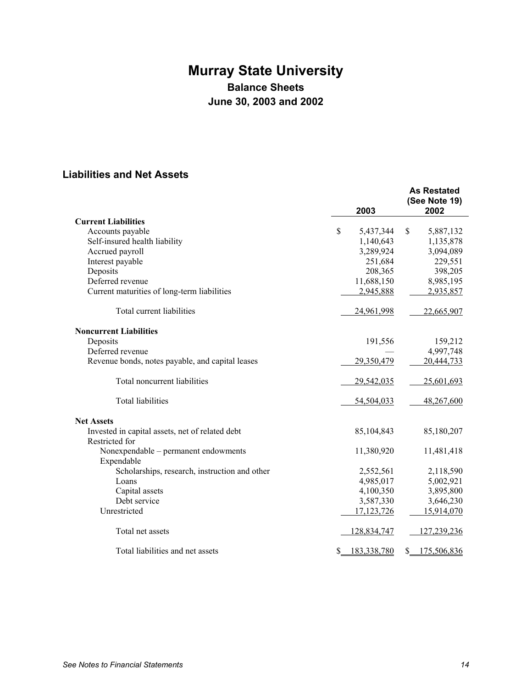# **Murray State University Balance Sheets June 30, 2003 and 2002**

# **Liabilities and Net Assets**

|                                                    |    | 2003         |    | <b>As Restated</b><br>(See Note 19)<br>2002 |
|----------------------------------------------------|----|--------------|----|---------------------------------------------|
| <b>Current Liabilities</b>                         |    |              |    |                                             |
| Accounts payable                                   | \$ | 5,437,344    | \$ | 5,887,132                                   |
| Self-insured health liability                      |    | 1,140,643    |    | 1,135,878                                   |
| Accrued payroll                                    |    | 3,289,924    |    | 3,094,089                                   |
| Interest payable                                   |    | 251,684      |    | 229,551                                     |
| Deposits                                           |    | 208,365      |    | 398,205                                     |
| Deferred revenue                                   |    | 11,688,150   |    | 8,985,195                                   |
| Current maturities of long-term liabilities        |    | 2,945,888    |    | 2,935,857                                   |
| Total current liabilities                          |    | 24,961,998   |    | 22,665,907                                  |
| <b>Noncurrent Liabilities</b>                      |    |              |    |                                             |
| Deposits                                           |    | 191,556      |    | 159,212                                     |
| Deferred revenue                                   |    |              |    | 4,997,748                                   |
| Revenue bonds, notes payable, and capital leases   |    | 29,350,479   |    | 20,444,733                                  |
| Total noncurrent liabilities                       |    | 29,542,035   |    | 25,601,693                                  |
| <b>Total liabilities</b>                           |    | 54,504,033   |    | 48,267,600                                  |
| <b>Net Assets</b>                                  |    |              |    |                                             |
| Invested in capital assets, net of related debt    |    | 85,104,843   |    | 85,180,207                                  |
| Restricted for                                     |    |              |    |                                             |
| Nonexpendable – permanent endowments<br>Expendable |    | 11,380,920   |    | 11,481,418                                  |
| Scholarships, research, instruction and other      |    | 2,552,561    |    | 2,118,590                                   |
| Loans                                              |    | 4,985,017    |    | 5,002,921                                   |
| Capital assets                                     |    | 4,100,350    |    | 3,895,800                                   |
| Debt service                                       |    | 3,587,330    |    | 3,646,230                                   |
| Unrestricted                                       |    | 17, 123, 726 |    | 15,914,070                                  |
| Total net assets                                   |    | 128,834,747  |    | 127,239,236                                 |
| Total liabilities and net assets                   | S. | 183,338,780  | \$ | 175,506,836                                 |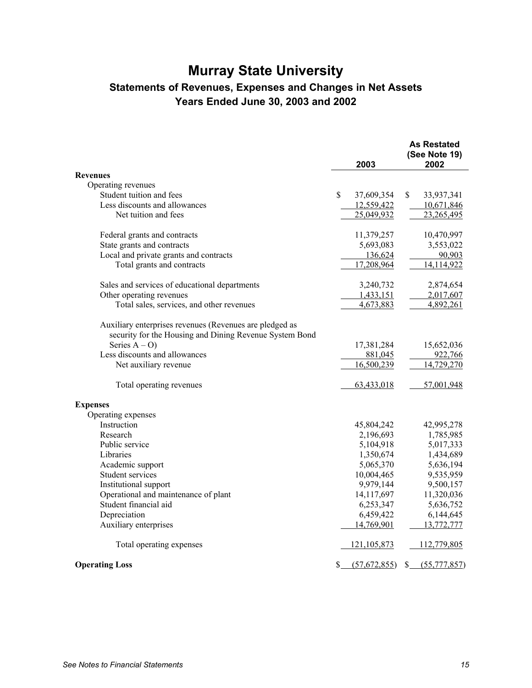# **Murray State University**

# **Statements of Revenues, Expenses and Changes in Net Assets Years Ended June 30, 2003 and 2002**

|                                                                                                                    | 2003             | <b>As Restated</b><br>(See Note 19)<br>2002 |
|--------------------------------------------------------------------------------------------------------------------|------------------|---------------------------------------------|
| <b>Revenues</b>                                                                                                    |                  |                                             |
| Operating revenues                                                                                                 |                  |                                             |
| Student tuition and fees                                                                                           | \$<br>37,609,354 | \$<br>33,937,341                            |
| Less discounts and allowances                                                                                      | 12,559,422       | 10,671,846                                  |
| Net tuition and fees                                                                                               | 25,049,932       | 23,265,495                                  |
| Federal grants and contracts                                                                                       | 11,379,257       | 10,470,997                                  |
| State grants and contracts                                                                                         | 5,693,083        | 3,553,022                                   |
| Local and private grants and contracts                                                                             | 136,624          | 90,903                                      |
| Total grants and contracts                                                                                         | 17,208,964       | 14,114,922                                  |
| Sales and services of educational departments                                                                      | 3,240,732        | 2,874,654                                   |
| Other operating revenues                                                                                           | 1,433,151        | 2,017,607                                   |
| Total sales, services, and other revenues                                                                          | 4,673,883        | 4,892,261                                   |
| Auxiliary enterprises revenues (Revenues are pledged as<br>security for the Housing and Dining Revenue System Bond |                  |                                             |
| Series $A - O$ )                                                                                                   | 17,381,284       | 15,652,036                                  |
| Less discounts and allowances                                                                                      | 881,045          | 922,766                                     |
| Net auxiliary revenue                                                                                              | 16,500,239       | 14,729,270                                  |
| Total operating revenues                                                                                           | 63,433,018       | 57,001,948                                  |
| <b>Expenses</b>                                                                                                    |                  |                                             |
| Operating expenses                                                                                                 |                  |                                             |
| Instruction                                                                                                        | 45,804,242       | 42,995,278                                  |
| Research                                                                                                           | 2,196,693        | 1,785,985                                   |
| Public service                                                                                                     | 5,104,918        | 5,017,333                                   |
| Libraries                                                                                                          | 1,350,674        | 1,434,689                                   |
| Academic support                                                                                                   | 5,065,370        | 5,636,194                                   |
| Student services                                                                                                   | 10,004,465       | 9,535,959                                   |
| Institutional support                                                                                              | 9,979,144        | 9,500,157                                   |
| Operational and maintenance of plant                                                                               | 14,117,697       | 11,320,036                                  |
| Student financial aid                                                                                              | 6,253,347        | 5,636,752                                   |
| Depreciation                                                                                                       | 6,459,422        | 6,144,645                                   |
| Auxiliary enterprises                                                                                              | 14,769,901       | 13,772,777                                  |
| Total operating expenses                                                                                           | 121, 105, 873    | 112,779,805                                 |
| <b>Operating Loss</b>                                                                                              | \$6(57,672,855)  | $S_{-}$<br>(55, 777, 857)                   |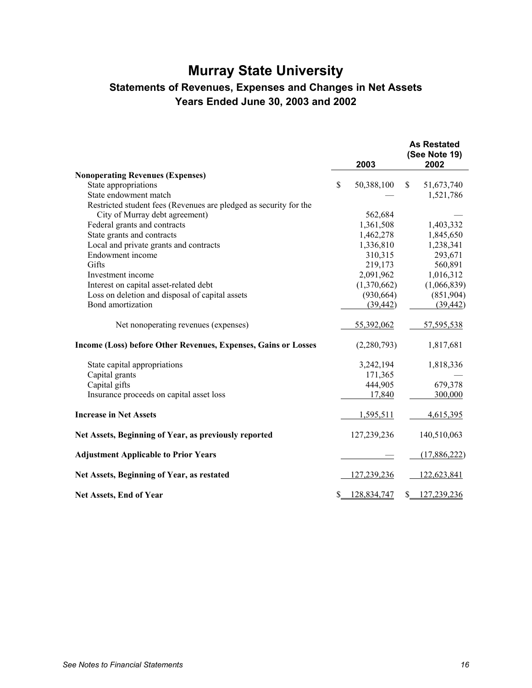# **Murray State University Statements of Revenues, Expenses and Changes in Net Assets Years Ended June 30, 2003 and 2002**

|                                                                   | 2003              | <b>As Restated</b><br>(See Note 19)<br>2002 |
|-------------------------------------------------------------------|-------------------|---------------------------------------------|
| <b>Nonoperating Revenues (Expenses)</b>                           |                   |                                             |
| State appropriations                                              | \$<br>50,388,100  | \$<br>51,673,740                            |
| State endowment match                                             |                   | 1,521,786                                   |
| Restricted student fees (Revenues are pledged as security for the |                   |                                             |
| City of Murray debt agreement)                                    | 562,684           |                                             |
| Federal grants and contracts                                      | 1,361,508         | 1,403,332                                   |
| State grants and contracts                                        | 1,462,278         | 1,845,650                                   |
| Local and private grants and contracts                            | 1,336,810         | 1,238,341                                   |
| Endowment income                                                  | 310,315           | 293,671                                     |
| Gifts                                                             | 219,173           | 560,891                                     |
| Investment income                                                 | 2,091,962         | 1,016,312                                   |
| Interest on capital asset-related debt                            | (1,370,662)       | (1,066,839)                                 |
| Loss on deletion and disposal of capital assets                   | (930, 664)        | (851,904)                                   |
| Bond amortization                                                 | (39, 442)         | (39, 442)                                   |
| Net nonoperating revenues (expenses)                              | 55,392,062        | 57,595,538                                  |
| Income (Loss) before Other Revenues, Expenses, Gains or Losses    | (2,280,793)       | 1,817,681                                   |
| State capital appropriations                                      | 3,242,194         | 1,818,336                                   |
| Capital grants                                                    | 171,365           |                                             |
| Capital gifts                                                     | 444,905           | 679,378                                     |
| Insurance proceeds on capital asset loss                          | 17,840            | 300,000                                     |
| <b>Increase in Net Assets</b>                                     | 1,595,511         | 4,615,395                                   |
| Net Assets, Beginning of Year, as previously reported             | 127,239,236       | 140,510,063                                 |
| <b>Adjustment Applicable to Prior Years</b>                       |                   | (17,886,222)                                |
| Net Assets, Beginning of Year, as restated                        | 127,239,236       | 122,623,841                                 |
| Net Assets, End of Year                                           | \$<br>128,834,747 | \$<br>127,239,236                           |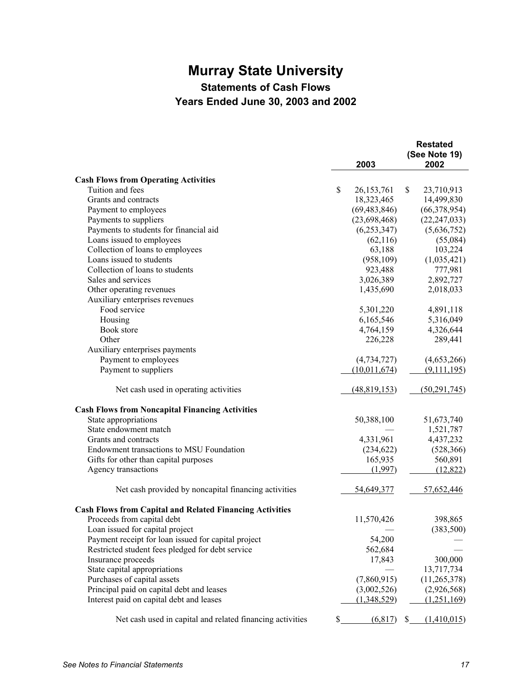# **Murray State University**

**Statements of Cash Flows** 

**Years Ended June 30, 2003 and 2002** 

|                                                                 |                    | <b>Restated</b>   |
|-----------------------------------------------------------------|--------------------|-------------------|
|                                                                 |                    | (See Note 19)     |
|                                                                 | 2003               | 2002              |
| <b>Cash Flows from Operating Activities</b>                     |                    |                   |
| Tuition and fees                                                | \$<br>26, 153, 761 | \$<br>23,710,913  |
| Grants and contracts                                            | 18,323,465         | 14,499,830        |
| Payment to employees                                            | (69, 483, 846)     | (66,378,954)      |
| Payments to suppliers                                           | (23,698,468)       | (22, 247, 033)    |
| Payments to students for financial aid                          | (6, 253, 347)      | (5,636,752)       |
| Loans issued to employees                                       | (62,116)           | (55,084)          |
| Collection of loans to employees                                | 63,188             | 103,224           |
| Loans issued to students                                        | (958, 109)         | (1,035,421)       |
| Collection of loans to students                                 | 923,488            | 777,981           |
| Sales and services                                              | 3,026,389          | 2,892,727         |
| Other operating revenues                                        | 1,435,690          | 2,018,033         |
| Auxiliary enterprises revenues                                  |                    |                   |
| Food service                                                    | 5,301,220          | 4,891,118         |
| Housing                                                         | 6,165,546          | 5,316,049         |
| Book store                                                      | 4,764,159          | 4,326,644         |
| Other                                                           | 226,228            | 289,441           |
| Auxiliary enterprises payments                                  |                    |                   |
| Payment to employees                                            | (4, 734, 727)      | (4,653,266)       |
| Payment to suppliers                                            | (10,011,674)       | (9,111,195)       |
|                                                                 |                    |                   |
| Net cash used in operating activities                           | (48,819,153)       | (50, 291, 745)    |
| <b>Cash Flows from Noncapital Financing Activities</b>          |                    |                   |
| State appropriations                                            | 50,388,100         | 51,673,740        |
| State endowment match                                           |                    | 1,521,787         |
| Grants and contracts                                            | 4,331,961          | 4,437,232         |
| Endowment transactions to MSU Foundation                        | (234, 622)         | (528, 366)        |
| Gifts for other than capital purposes                           | 165,935            | 560,891           |
| Agency transactions                                             | (1,997)            | (12, 822)         |
| Net cash provided by noncapital financing activities            | 54,649,377         | 57,652,446        |
| <b>Cash Flows from Capital and Related Financing Activities</b> |                    |                   |
| Proceeds from capital debt                                      | 11,570,426         | 398,865           |
| Loan issued for capital project                                 |                    | (383, 500)        |
| Payment receipt for loan issued for capital project             | 54,200             |                   |
| Restricted student fees pledged for debt service                | 562,684            |                   |
| Insurance proceeds                                              | 17,843             | 300,000           |
| State capital appropriations                                    |                    | 13,717,734        |
| Purchases of capital assets                                     | (7,860,915)        | (11, 265, 378)    |
| Principal paid on capital debt and leases                       | (3,002,526)        | (2,926,568)       |
| Interest paid on capital debt and leases                        | (1,348,529)        | (1,251,169)       |
|                                                                 |                    |                   |
| Net cash used in capital and related financing activities       | \$<br>(6,817)      | \$<br>(1,410,015) |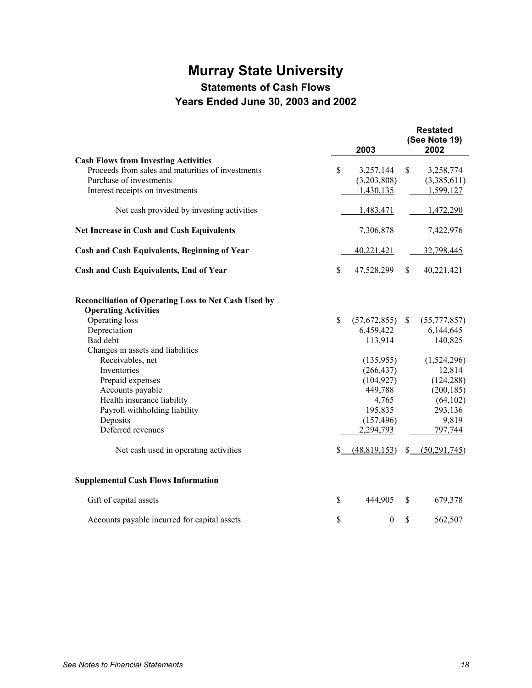# **Murray State University**

**Statements of Cash Flows** 

# **Years Ended June 30, 2003 and 2002**

|                                                                                            |                   | 2003             |               | <b>Restated</b><br>(See Note 19)<br>2002 |
|--------------------------------------------------------------------------------------------|-------------------|------------------|---------------|------------------------------------------|
| <b>Cash Flows from Investing Activities</b>                                                |                   |                  |               |                                          |
| Proceeds from sales and maturities of investments                                          | \$                | 3,257,144        | \$            | 3,258,774                                |
| Purchase of investments                                                                    |                   | (3,203,808)      |               | (3,385,611)                              |
| Interest receipts on investments                                                           |                   | 1,430,135        |               | 1,599,127                                |
| Net cash provided by investing activities                                                  |                   | 1,483,471        |               | 1,472,290                                |
| <b>Net Increase in Cash and Cash Equivalents</b>                                           |                   | 7,306,878        |               | 7,422,976                                |
| <b>Cash and Cash Equivalents, Beginning of Year</b>                                        |                   | 40,221,421       |               | 32,798,445                               |
| <b>Cash and Cash Equivalents, End of Year</b>                                              | S.                | 47,528,299       | \$            | 40,221,421                               |
| <b>Reconciliation of Operating Loss to Net Cash Used by</b><br><b>Operating Activities</b> |                   |                  |               |                                          |
| Operating loss                                                                             | \$                | (57,672,855)     | $\mathbb{S}$  | (55, 777, 857)                           |
| Depreciation                                                                               |                   | 6,459,422        |               | 6,144,645                                |
| Bad debt                                                                                   |                   | 113,914          |               | 140,825                                  |
| Changes in assets and liabilities                                                          |                   |                  |               |                                          |
| Receivables, net                                                                           |                   | (135,955)        |               | (1,524,296)                              |
| Inventories                                                                                |                   | (266, 437)       |               | 12,814                                   |
| Prepaid expenses                                                                           |                   | (104, 927)       |               | (124, 288)                               |
| Accounts payable                                                                           |                   | 449,788          |               | (200, 185)                               |
| Health insurance liability                                                                 |                   | 4,765            |               | (64, 102)                                |
| Payroll withholding liability                                                              |                   | 195,835          |               | 293,136                                  |
| Deposits                                                                                   |                   | (157, 496)       |               | 9,819                                    |
| Deferred revenues                                                                          |                   | 2,294,793        |               | 797,744                                  |
| Net cash used in operating activities                                                      | $\mathcal{S}_{-}$ | (48,819,153)     | $S_{-}$       | (50, 291, 745)                           |
| <b>Supplemental Cash Flows Information</b>                                                 |                   |                  |               |                                          |
| Gift of capital assets                                                                     | \$                | 444,905          | <sup>\$</sup> | 679,378                                  |
| Accounts payable incurred for capital assets                                               | \$                | $\boldsymbol{0}$ | \$            | 562,507                                  |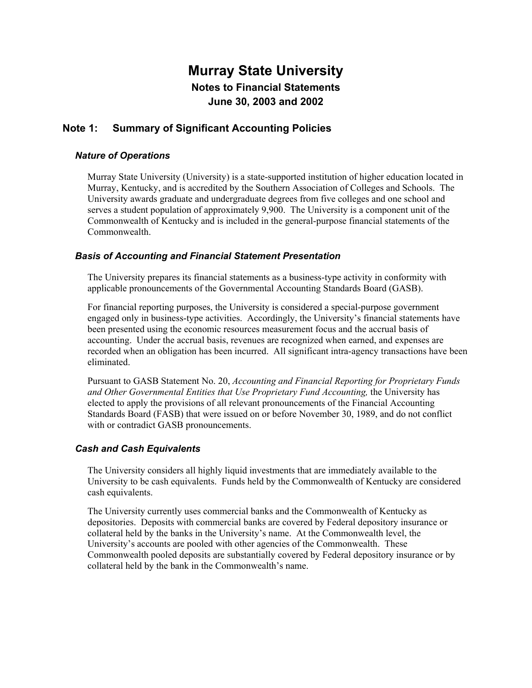### **Note 1: Summary of Significant Accounting Policies**

### *Nature of Operations*

Murray State University (University) is a state-supported institution of higher education located in Murray, Kentucky, and is accredited by the Southern Association of Colleges and Schools. The University awards graduate and undergraduate degrees from five colleges and one school and serves a student population of approximately 9,900. The University is a component unit of the Commonwealth of Kentucky and is included in the general-purpose financial statements of the **Commonwealth** 

### *Basis of Accounting and Financial Statement Presentation*

The University prepares its financial statements as a business-type activity in conformity with applicable pronouncements of the Governmental Accounting Standards Board (GASB).

For financial reporting purposes, the University is considered a special-purpose government engaged only in business-type activities. Accordingly, the University's financial statements have been presented using the economic resources measurement focus and the accrual basis of accounting. Under the accrual basis, revenues are recognized when earned, and expenses are recorded when an obligation has been incurred. All significant intra-agency transactions have been eliminated.

Pursuant to GASB Statement No. 20, *Accounting and Financial Reporting for Proprietary Funds and Other Governmental Entities that Use Proprietary Fund Accounting,* the University has elected to apply the provisions of all relevant pronouncements of the Financial Accounting Standards Board (FASB) that were issued on or before November 30, 1989, and do not conflict with or contradict GASB pronouncements.

### *Cash and Cash Equivalents*

The University considers all highly liquid investments that are immediately available to the University to be cash equivalents. Funds held by the Commonwealth of Kentucky are considered cash equivalents.

The University currently uses commercial banks and the Commonwealth of Kentucky as depositories. Deposits with commercial banks are covered by Federal depository insurance or collateral held by the banks in the University's name. At the Commonwealth level, the University's accounts are pooled with other agencies of the Commonwealth. These Commonwealth pooled deposits are substantially covered by Federal depository insurance or by collateral held by the bank in the Commonwealth's name.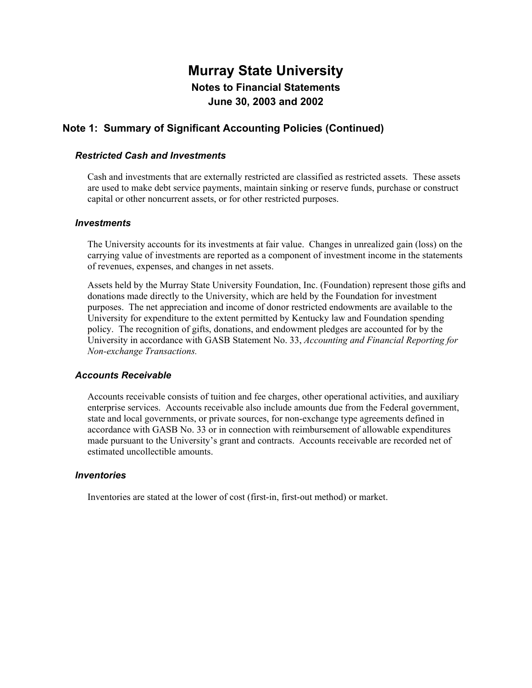### **Note 1: Summary of Significant Accounting Policies (Continued)**

#### *Restricted Cash and Investments*

Cash and investments that are externally restricted are classified as restricted assets. These assets are used to make debt service payments, maintain sinking or reserve funds, purchase or construct capital or other noncurrent assets, or for other restricted purposes.

#### *Investments*

The University accounts for its investments at fair value. Changes in unrealized gain (loss) on the carrying value of investments are reported as a component of investment income in the statements of revenues, expenses, and changes in net assets.

Assets held by the Murray State University Foundation, Inc. (Foundation) represent those gifts and donations made directly to the University, which are held by the Foundation for investment purposes. The net appreciation and income of donor restricted endowments are available to the University for expenditure to the extent permitted by Kentucky law and Foundation spending policy. The recognition of gifts, donations, and endowment pledges are accounted for by the University in accordance with GASB Statement No. 33, *Accounting and Financial Reporting for Non-exchange Transactions.*

#### *Accounts Receivable*

Accounts receivable consists of tuition and fee charges, other operational activities, and auxiliary enterprise services. Accounts receivable also include amounts due from the Federal government, state and local governments, or private sources, for non-exchange type agreements defined in accordance with GASB No. 33 or in connection with reimbursement of allowable expenditures made pursuant to the University's grant and contracts. Accounts receivable are recorded net of estimated uncollectible amounts.

#### *Inventories*

Inventories are stated at the lower of cost (first-in, first-out method) or market.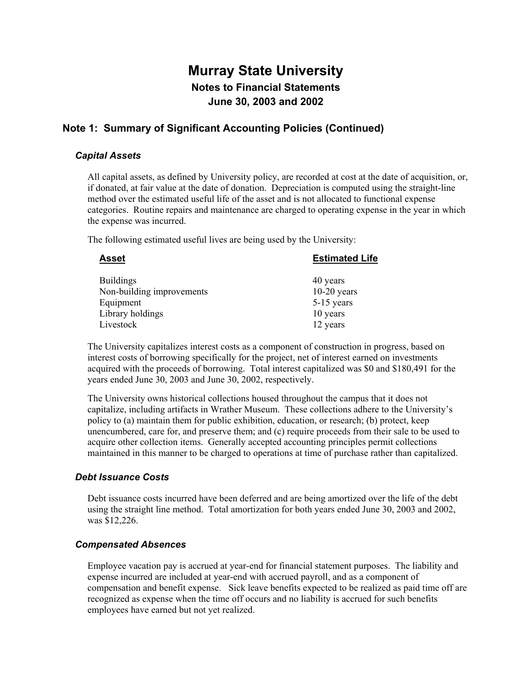### **Note 1: Summary of Significant Accounting Policies (Continued)**

#### *Capital Assets*

All capital assets, as defined by University policy, are recorded at cost at the date of acquisition, or, if donated, at fair value at the date of donation. Depreciation is computed using the straight-line method over the estimated useful life of the asset and is not allocated to functional expense categories. Routine repairs and maintenance are charged to operating expense in the year in which the expense was incurred.

The following estimated useful lives are being used by the University:

| <b>Estimated Life</b> |
|-----------------------|
| 40 years              |
| $10-20$ years         |
| 5-15 years            |
| 10 years              |
| 12 years              |
|                       |

The University capitalizes interest costs as a component of construction in progress, based on interest costs of borrowing specifically for the project, net of interest earned on investments acquired with the proceeds of borrowing. Total interest capitalized was \$0 and \$180,491 for the years ended June 30, 2003 and June 30, 2002, respectively.

The University owns historical collections housed throughout the campus that it does not capitalize, including artifacts in Wrather Museum. These collections adhere to the University's policy to (a) maintain them for public exhibition, education, or research; (b) protect, keep unencumbered, care for, and preserve them; and (c) require proceeds from their sale to be used to acquire other collection items. Generally accepted accounting principles permit collections maintained in this manner to be charged to operations at time of purchase rather than capitalized.

#### *Debt Issuance Costs*

Debt issuance costs incurred have been deferred and are being amortized over the life of the debt using the straight line method. Total amortization for both years ended June 30, 2003 and 2002, was \$12,226.

#### *Compensated Absences*

Employee vacation pay is accrued at year-end for financial statement purposes. The liability and expense incurred are included at year-end with accrued payroll, and as a component of compensation and benefit expense. Sick leave benefits expected to be realized as paid time off are recognized as expense when the time off occurs and no liability is accrued for such benefits employees have earned but not yet realized.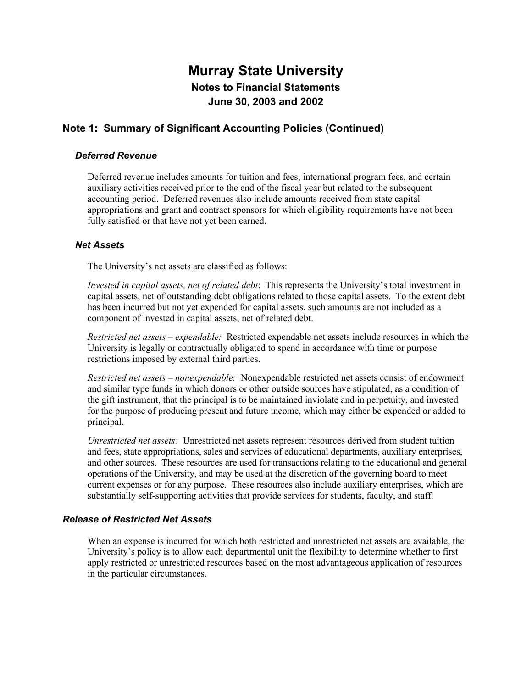## **Note 1: Summary of Significant Accounting Policies (Continued)**

#### *Deferred Revenue*

Deferred revenue includes amounts for tuition and fees, international program fees, and certain auxiliary activities received prior to the end of the fiscal year but related to the subsequent accounting period. Deferred revenues also include amounts received from state capital appropriations and grant and contract sponsors for which eligibility requirements have not been fully satisfied or that have not yet been earned.

#### *Net Assets*

The University's net assets are classified as follows:

*Invested in capital assets, net of related debt*: This represents the University's total investment in capital assets, net of outstanding debt obligations related to those capital assets. To the extent debt has been incurred but not yet expended for capital assets, such amounts are not included as a component of invested in capital assets, net of related debt.

*Restricted net assets – expendable:* Restricted expendable net assets include resources in which the University is legally or contractually obligated to spend in accordance with time or purpose restrictions imposed by external third parties.

*Restricted net assets – nonexpendable:* Nonexpendable restricted net assets consist of endowment and similar type funds in which donors or other outside sources have stipulated, as a condition of the gift instrument, that the principal is to be maintained inviolate and in perpetuity, and invested for the purpose of producing present and future income, which may either be expended or added to principal.

*Unrestricted net assets:* Unrestricted net assets represent resources derived from student tuition and fees, state appropriations, sales and services of educational departments, auxiliary enterprises, and other sources. These resources are used for transactions relating to the educational and general operations of the University, and may be used at the discretion of the governing board to meet current expenses or for any purpose. These resources also include auxiliary enterprises, which are substantially self-supporting activities that provide services for students, faculty, and staff.

#### *Release of Restricted Net Assets*

When an expense is incurred for which both restricted and unrestricted net assets are available, the University's policy is to allow each departmental unit the flexibility to determine whether to first apply restricted or unrestricted resources based on the most advantageous application of resources in the particular circumstances.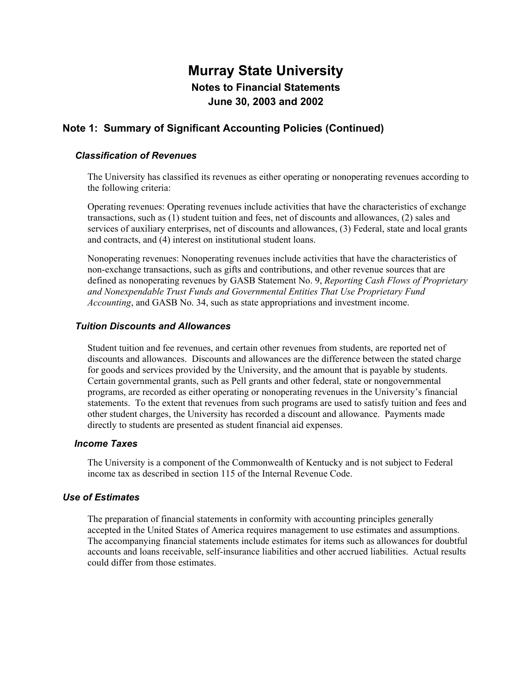## **Note 1: Summary of Significant Accounting Policies (Continued)**

### *Classification of Revenues*

The University has classified its revenues as either operating or nonoperating revenues according to the following criteria:

Operating revenues: Operating revenues include activities that have the characteristics of exchange transactions, such as (1) student tuition and fees, net of discounts and allowances, (2) sales and services of auxiliary enterprises, net of discounts and allowances, (3) Federal, state and local grants and contracts, and (4) interest on institutional student loans.

Nonoperating revenues: Nonoperating revenues include activities that have the characteristics of non-exchange transactions, such as gifts and contributions, and other revenue sources that are defined as nonoperating revenues by GASB Statement No. 9, *Reporting Cash Flows of Proprietary and Nonexpendable Trust Funds and Governmental Entities That Use Proprietary Fund Accounting*, and GASB No. 34, such as state appropriations and investment income.

#### *Tuition Discounts and Allowances*

Student tuition and fee revenues, and certain other revenues from students, are reported net of discounts and allowances. Discounts and allowances are the difference between the stated charge for goods and services provided by the University, and the amount that is payable by students. Certain governmental grants, such as Pell grants and other federal, state or nongovernmental programs, are recorded as either operating or nonoperating revenues in the University's financial statements. To the extent that revenues from such programs are used to satisfy tuition and fees and other student charges, the University has recorded a discount and allowance. Payments made directly to students are presented as student financial aid expenses.

#### *Income Taxes*

The University is a component of the Commonwealth of Kentucky and is not subject to Federal income tax as described in section 115 of the Internal Revenue Code.

#### *Use of Estimates*

The preparation of financial statements in conformity with accounting principles generally accepted in the United States of America requires management to use estimates and assumptions. The accompanying financial statements include estimates for items such as allowances for doubtful accounts and loans receivable, self-insurance liabilities and other accrued liabilities. Actual results could differ from those estimates.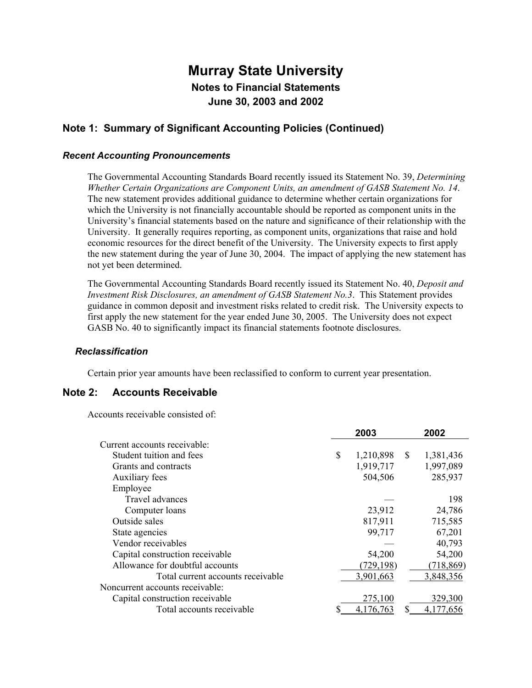### **Note 1: Summary of Significant Accounting Policies (Continued)**

#### *Recent Accounting Pronouncements*

The Governmental Accounting Standards Board recently issued its Statement No. 39, *Determining Whether Certain Organizations are Component Units, an amendment of GASB Statement No. 14*. The new statement provides additional guidance to determine whether certain organizations for which the University is not financially accountable should be reported as component units in the University's financial statements based on the nature and significance of their relationship with the University. It generally requires reporting, as component units, organizations that raise and hold economic resources for the direct benefit of the University. The University expects to first apply the new statement during the year of June 30, 2004. The impact of applying the new statement has not yet been determined.

The Governmental Accounting Standards Board recently issued its Statement No. 40, *Deposit and Investment Risk Disclosures, an amendment of GASB Statement No.3*. This Statement provides guidance in common deposit and investment risks related to credit risk. The University expects to first apply the new statement for the year ended June 30, 2005. The University does not expect GASB No. 40 to significantly impact its financial statements footnote disclosures.

#### *Reclassification*

Certain prior year amounts have been reclassified to conform to current year presentation.

### **Note 2: Accounts Receivable**

Accounts receivable consisted of:

|                                   | 2003            |              | 2002       |
|-----------------------------------|-----------------|--------------|------------|
| Current accounts receivable:      |                 |              |            |
| Student tuition and fees          | \$<br>1,210,898 | <sup>S</sup> | 1,381,436  |
| Grants and contracts              | 1,919,717       |              | 1,997,089  |
| Auxiliary fees                    | 504,506         |              | 285,937    |
| Employee                          |                 |              |            |
| Travel advances                   |                 |              | 198        |
| Computer loans                    | 23,912          |              | 24,786     |
| Outside sales                     | 817,911         |              | 715,585    |
| State agencies                    | 99,717          |              | 67,201     |
| Vendor receivables                |                 |              | 40,793     |
| Capital construction receivable   | 54,200          |              | 54,200     |
| Allowance for doubtful accounts   | (729, 198)      |              | (718, 869) |
| Total current accounts receivable | 3,901,663       |              | 3,848,356  |
| Noncurrent accounts receivable:   |                 |              |            |
| Capital construction receivable   | 275,100         |              | 329,300    |
| Total accounts receivable         | 4,176,763       |              | 4,177,656  |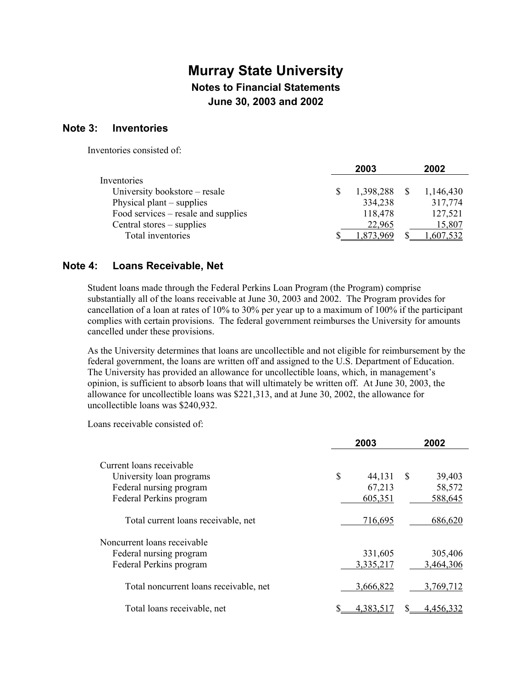#### **Note 3: Inventories**

Inventories consisted of:

|                                     | 2003             | 2002      |
|-------------------------------------|------------------|-----------|
| Inventories                         |                  |           |
| University bookstore – resale       | 1,398,288        | 1,146,430 |
| Physical plant $-$ supplies         | 334,238          | 317,774   |
| Food services – resale and supplies | 118,478          | 127,521   |
| Central stores – supplies           | 22,965           | 15,807    |
| Total inventories                   | 8 <u>73.</u> 969 | .607.532  |

### **Note 4: Loans Receivable, Net**

Student loans made through the Federal Perkins Loan Program (the Program) comprise substantially all of the loans receivable at June 30, 2003 and 2002. The Program provides for cancellation of a loan at rates of 10% to 30% per year up to a maximum of 100% if the participant complies with certain provisions. The federal government reimburses the University for amounts cancelled under these provisions.

As the University determines that loans are uncollectible and not eligible for reimbursement by the federal government, the loans are written off and assigned to the U.S. Department of Education. The University has provided an allowance for uncollectible loans, which, in management's opinion, is sufficient to absorb loans that will ultimately be written off. At June 30, 2003, the allowance for uncollectible loans was \$221,313, and at June 30, 2002, the allowance for uncollectible loans was \$240,932.

Loans receivable consisted of:

|                                        | 2003 |           |               | 2002             |
|----------------------------------------|------|-----------|---------------|------------------|
| Current loans receivable               |      |           |               |                  |
| University loan programs               | \$   | 44,131    | <sup>\$</sup> | 39,403           |
| Federal nursing program                |      | 67,213    |               | 58,572           |
| Federal Perkins program                |      | 605,351   |               | 588,645          |
| Total current loans receivable, net    |      | 716,695   |               | 686,620          |
| Noncurrent loans receivable            |      |           |               |                  |
| Federal nursing program                |      | 331,605   |               | 305,406          |
| Federal Perkins program                |      | 3,335,217 |               | 3,464,306        |
| Total noncurrent loans receivable, net |      | 3,666,822 |               | 3,769,712        |
| Total loans receivable, net            | S    | 4.383.517 |               | <u>4,456,332</u> |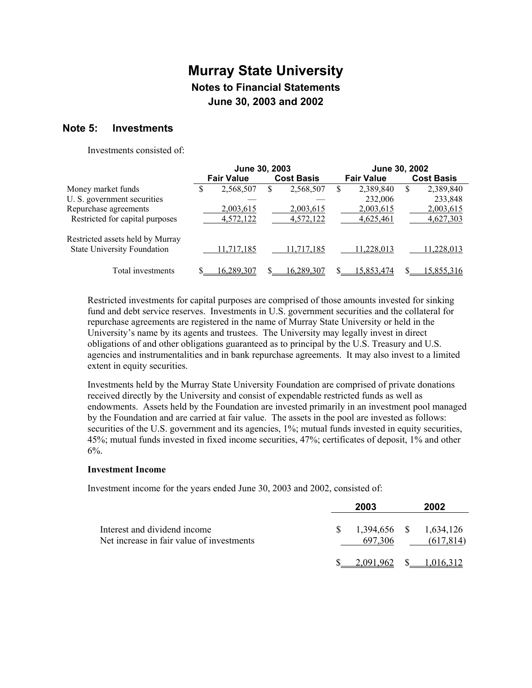### **Note 5: Investments**

Investments consisted of:

|                                    | June 30, 2003 |                   |    | June 30, 2002     |   |                   |   |                   |
|------------------------------------|---------------|-------------------|----|-------------------|---|-------------------|---|-------------------|
|                                    |               | <b>Fair Value</b> |    | <b>Cost Basis</b> |   | <b>Fair Value</b> |   | <b>Cost Basis</b> |
| Money market funds                 | S             | 2,568,507         | S. | 2,568,507         | S | 2,389,840         | S | 2,389,840         |
| U. S. government securities        |               |                   |    |                   |   | 232,006           |   | 233,848           |
| Repurchase agreements              |               | 2,003,615         |    | 2,003,615         |   | 2,003,615         |   | 2,003,615         |
| Restricted for capital purposes    |               | 4,572,122         |    | 4,572,122         |   | 4,625,461         |   | 4,627,303         |
| Restricted assets held by Murray   |               |                   |    |                   |   |                   |   |                   |
| <b>State University Foundation</b> |               | 11,717,185        |    | 11,717,185        |   | 11.228.013        |   | 11,228,013        |
| Total investments                  |               | 16,289,307        |    | 16.289.307        |   | 15.853.474        |   | 15,855,316        |

Restricted investments for capital purposes are comprised of those amounts invested for sinking fund and debt service reserves. Investments in U.S. government securities and the collateral for repurchase agreements are registered in the name of Murray State University or held in the University's name by its agents and trustees. The University may legally invest in direct obligations of and other obligations guaranteed as to principal by the U.S. Treasury and U.S. agencies and instrumentalities and in bank repurchase agreements. It may also invest to a limited extent in equity securities.

Investments held by the Murray State University Foundation are comprised of private donations received directly by the University and consist of expendable restricted funds as well as endowments. Assets held by the Foundation are invested primarily in an investment pool managed by the Foundation and are carried at fair value. The assets in the pool are invested as follows: securities of the U.S. government and its agencies,  $1\%$ ; mutual funds invested in equity securities, 45%; mutual funds invested in fixed income securities, 47%; certificates of deposit, 1% and other  $6%$ .

#### **Investment Income**

Investment income for the years ended June 30, 2003 and 2002, consisted of:

|                                                                           | 2003                                 | 2002                   |
|---------------------------------------------------------------------------|--------------------------------------|------------------------|
| Interest and dividend income<br>Net increase in fair value of investments | $$1,394,656$ $$1,634,126$<br>697.306 | (617, 814)             |
|                                                                           |                                      | 2.091.962 \$ 1.016.312 |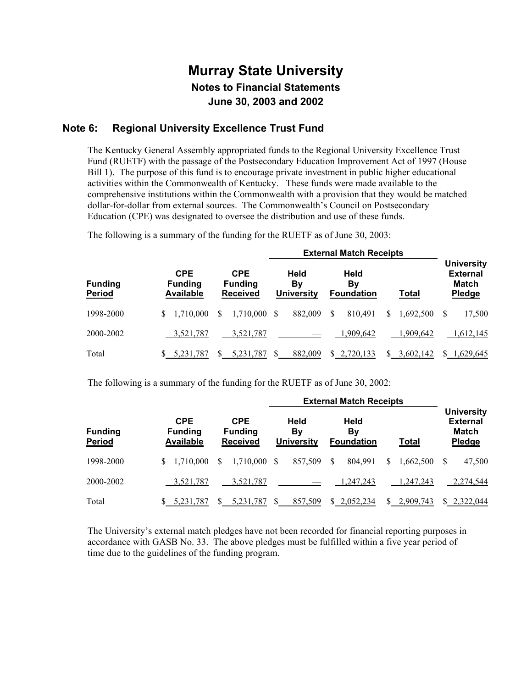### **Note 6: Regional University Excellence Trust Fund**

The Kentucky General Assembly appropriated funds to the Regional University Excellence Trust Fund (RUETF) with the passage of the Postsecondary Education Improvement Act of 1997 (House Bill 1). The purpose of this fund is to encourage private investment in public higher educational activities within the Commonwealth of Kentucky. These funds were made available to the comprehensive institutions within the Commonwealth with a provision that they would be matched dollar-for-dollar from external sources. The Commonwealth's Council on Postsecondary Education (CPE) was designated to oversee the distribution and use of these funds.

The following is a summary of the funding for the RUETF as of June 30, 2003:

|                                 |                                                  |                                                 | <b>External Match Receipts</b>  |                                 |                            |                                                         |  |  |  |  |
|---------------------------------|--------------------------------------------------|-------------------------------------------------|---------------------------------|---------------------------------|----------------------------|---------------------------------------------------------|--|--|--|--|
| <b>Funding</b><br><b>Period</b> | <b>CPE</b><br><b>Funding</b><br><b>Available</b> | <b>CPE</b><br><b>Funding</b><br><b>Received</b> | Held<br>By<br><b>University</b> | Held<br>Bv<br><b>Foundation</b> | Total                      | <b>University</b><br><b>External</b><br>Match<br>Pledge |  |  |  |  |
| 1998-2000                       | 1.710.000<br>S.                                  | 1,710,000<br>S                                  | 882,009<br>\$.                  | S<br>810.491                    | 1,692,500<br>S.            | 17,500<br>S                                             |  |  |  |  |
| 2000-2002                       | 3,521,787                                        | 3.521.787                                       |                                 | 1,909,642                       | 1.909.642                  | 1,612,145                                               |  |  |  |  |
| Total                           | 5.231.787                                        | 5,231,787                                       | 882,009                         | \$2,720,133                     | 3,602,142<br><sup>\$</sup> | 1,629,645                                               |  |  |  |  |

The following is a summary of the funding for the RUETF as of June 30, 2002:

|                          |                                                  |                                                 | <b>External Match Receipts</b>  |                                 |                 |                                                         |  |
|--------------------------|--------------------------------------------------|-------------------------------------------------|---------------------------------|---------------------------------|-----------------|---------------------------------------------------------|--|
| <b>Funding</b><br>Period | <b>CPE</b><br><b>Funding</b><br><b>Available</b> | <b>CPE</b><br><b>Funding</b><br><b>Received</b> | Held<br>Βv<br><b>University</b> | Held<br>Bv<br><b>Foundation</b> | <b>Total</b>    | <b>University</b><br><b>External</b><br>Match<br>Pledge |  |
| 1998-2000                | 1.710.000<br>S                                   | 1,710,000<br>\$.                                | 857,509<br>\$.                  | 804.991<br><sup>S</sup>         | 1.662.500<br>S. | 47,500                                                  |  |
| 2000-2002                | 3,521,787                                        | 3,521,787                                       |                                 | 1,247,243                       | 1,247,243       | 2,274,544                                               |  |
| Total                    | 5.231.787                                        | 5.231.787                                       | 857,509                         | \$2,052,234                     | 2.909.743<br>S. | \$ 2.322,044                                            |  |

The University's external match pledges have not been recorded for financial reporting purposes in accordance with GASB No. 33. The above pledges must be fulfilled within a five year period of time due to the guidelines of the funding program.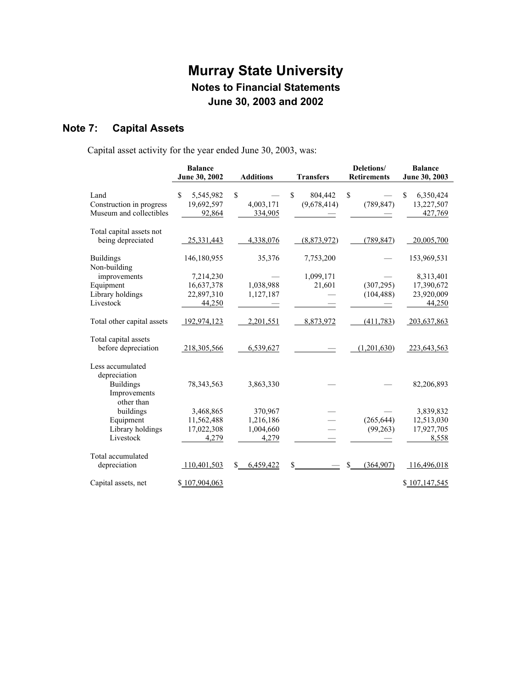# **Note 7: Capital Assets**

Capital asset activity for the year ended June 30, 2003, was:

|                                             | <b>Balance</b>                  |                  |                  | Deletions/                | <b>Balance</b>           |
|---------------------------------------------|---------------------------------|------------------|------------------|---------------------------|--------------------------|
|                                             | June 30, 2002                   | <b>Additions</b> | <b>Transfers</b> |                           | June 30, 2003            |
|                                             |                                 |                  |                  |                           |                          |
| Land                                        | $\mathbf{\hat{S}}$<br>5,545,982 | \$               | \$<br>804,442    | \$                        | $\mathbf S$<br>6,350,424 |
| Construction in progress                    | 19,692,597                      | 4,003,171        | (9,678,414)      | (789, 847)                | 13,227,507               |
| Museum and collectibles                     | 92,864                          | 334,905          |                  |                           | 427,769                  |
| Total capital assets not                    |                                 |                  |                  |                           |                          |
| being depreciated                           | 25,331,443                      | 4,338,076        | (8,873,972)      | (789, 847)                | 20,005,700               |
| <b>Buildings</b>                            | 146,180,955                     | 35,376           | 7,753,200        |                           | 153,969,531              |
| Non-building                                |                                 |                  |                  |                           |                          |
| improvements                                | 7,214,230                       |                  | 1,099,171        |                           | 8,313,401                |
| Equipment                                   | 16,637,378                      | 1,038,988        | 21,601           | (307, 295)                | 17,390,672               |
| Library holdings                            | 22,897,310                      | 1,127,187        |                  | (104, 488)                | 23,920,009               |
| Livestock                                   | 44,250                          |                  |                  |                           | 44,250                   |
| Total other capital assets                  | 192,974,123                     | 2,201,551        | 8,873,972        | (411, 783)                | 203,637,863              |
|                                             |                                 |                  |                  |                           |                          |
| Total capital assets<br>before depreciation | 218,305,566                     | 6,539,627        |                  | (1,201,630)               | 223,643,563              |
|                                             |                                 |                  |                  |                           |                          |
| Less accumulated                            |                                 |                  |                  |                           |                          |
| depreciation                                |                                 |                  |                  |                           |                          |
| <b>Buildings</b><br>Improvements            | 78, 343, 563                    | 3,863,330        |                  |                           | 82,206,893               |
| other than                                  |                                 |                  |                  |                           |                          |
| buildings                                   | 3,468,865                       | 370,967          |                  |                           | 3,839,832                |
| Equipment                                   | 11,562,488                      | 1,216,186        |                  | (265, 644)                | 12,513,030               |
| Library holdings                            | 17,022,308                      | 1,004,660        |                  | (99, 263)                 | 17,927,705               |
| Livestock                                   | 4,279                           | 4,279            |                  |                           | 8,558                    |
|                                             |                                 |                  |                  |                           |                          |
| Total accumulated                           |                                 |                  |                  |                           |                          |
| depreciation                                | 110,401,503                     | 6,459,422<br>\$  | \$               | $\mathbb{S}$<br>(364,907) | 116,496,018              |
| Capital assets, net                         | \$107,904,063                   |                  |                  |                           | \$107,147,545            |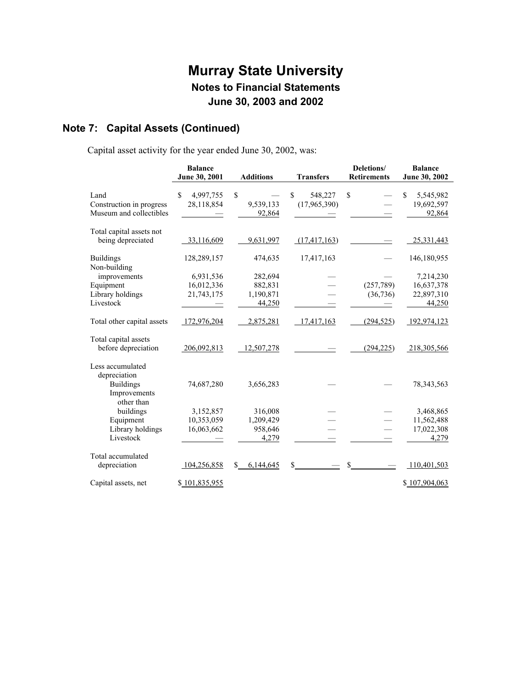# **Note 7: Capital Assets (Continued)**

Capital asset activity for the year ended June 30, 2002, was:

|                            | <b>Balance</b>                  |                  |                  | Deletions/         | <b>Balance</b>   |
|----------------------------|---------------------------------|------------------|------------------|--------------------|------------------|
|                            | June 30, 2001                   | <b>Additions</b> | <b>Transfers</b> | <b>Retirements</b> | June 30, 2002    |
|                            |                                 |                  |                  |                    |                  |
| Land                       | $\mathbf{\hat{S}}$<br>4,997,755 | \$               | \$<br>548,227    | $\mathbf S$        | \$.<br>5,545,982 |
| Construction in progress   | 28,118,854                      | 9,539,133        | (17,965,390)     |                    | 19,692,597       |
| Museum and collectibles    |                                 | 92,864           |                  |                    | 92,864           |
| Total capital assets not   |                                 |                  |                  |                    |                  |
| being depreciated          | 33,116,609                      | 9,631,997        | (17, 417, 163)   |                    | 25,331,443       |
| <b>Buildings</b>           | 128,289,157                     | 474,635          | 17,417,163       |                    | 146,180,955      |
| Non-building               |                                 |                  |                  |                    |                  |
| improvements               | 6,931,536                       | 282,694          |                  |                    | 7,214,230        |
| Equipment                  | 16,012,336                      | 882,831          |                  | (257,789)          | 16,637,378       |
| Library holdings           | 21,743,175                      | 1,190,871        |                  | (36, 736)          | 22,897,310       |
| Livestock                  |                                 | 44,250           |                  |                    | 44,250           |
| Total other capital assets | 172,976,204                     | 2,875,281        | 17,417,163       | (294, 525)         | 192,974,123      |
| Total capital assets       |                                 |                  |                  |                    |                  |
| before depreciation        | 206,092,813                     | 12,507,278       |                  | (294, 225)         | 218,305,566      |
| Less accumulated           |                                 |                  |                  |                    |                  |
| depreciation               |                                 |                  |                  |                    |                  |
| <b>Buildings</b>           | 74,687,280                      | 3,656,283        |                  |                    | 78, 343, 563     |
| Improvements<br>other than |                                 |                  |                  |                    |                  |
| buildings                  | 3,152,857                       | 316,008          |                  |                    | 3,468,865        |
| Equipment                  | 10,353,059                      | 1,209,429        |                  |                    | 11,562,488       |
| Library holdings           | 16,063,662                      | 958,646          |                  |                    | 17,022,308       |
| Livestock                  |                                 | 4,279            |                  |                    | 4,279            |
|                            |                                 |                  |                  |                    |                  |
| Total accumulated          |                                 |                  |                  |                    |                  |
| depreciation               | 104,256,858                     | \$<br>6,144,645  | S                | $\mathbb{S}_-$     | 110,401,503      |
| Capital assets, net        | \$101,835,955                   |                  |                  |                    | \$107,904,063    |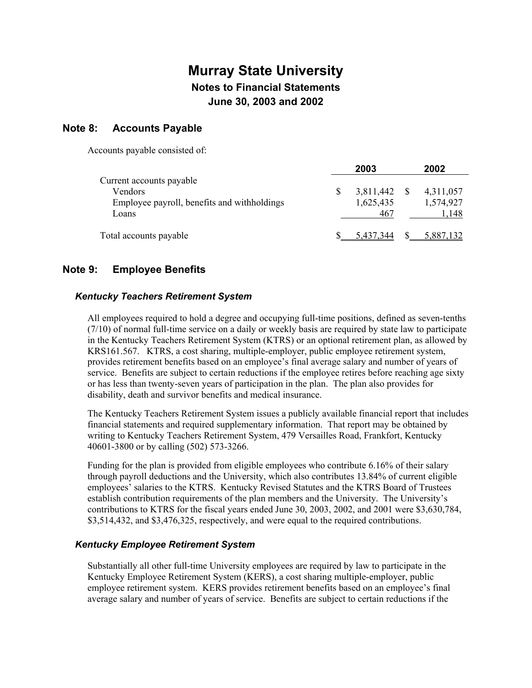### **Note 8: Accounts Payable**

Accounts payable consisted of:

|                                             | 2003      | 2002      |
|---------------------------------------------|-----------|-----------|
| Current accounts payable                    |           |           |
| Vendors                                     | 3,811,442 | 4,311,057 |
| Employee payroll, benefits and withholdings | 1,625,435 | 1,574,927 |
| Loans                                       | 467       | !.148     |
|                                             |           |           |
| Total accounts payable                      | 5 437 344 |           |

### **Note 9: Employee Benefits**

#### *Kentucky Teachers Retirement System*

All employees required to hold a degree and occupying full-time positions, defined as seven-tenths (7/10) of normal full-time service on a daily or weekly basis are required by state law to participate in the Kentucky Teachers Retirement System (KTRS) or an optional retirement plan, as allowed by KRS161.567. KTRS, a cost sharing, multiple-employer, public employee retirement system, provides retirement benefits based on an employee's final average salary and number of years of service. Benefits are subject to certain reductions if the employee retires before reaching age sixty or has less than twenty-seven years of participation in the plan. The plan also provides for disability, death and survivor benefits and medical insurance.

The Kentucky Teachers Retirement System issues a publicly available financial report that includes financial statements and required supplementary information. That report may be obtained by writing to Kentucky Teachers Retirement System, 479 Versailles Road, Frankfort, Kentucky 40601-3800 or by calling (502) 573-3266.

Funding for the plan is provided from eligible employees who contribute 6.16% of their salary through payroll deductions and the University, which also contributes 13.84% of current eligible employees' salaries to the KTRS. Kentucky Revised Statutes and the KTRS Board of Trustees establish contribution requirements of the plan members and the University. The University's contributions to KTRS for the fiscal years ended June 30, 2003, 2002, and 2001 were \$3,630,784, \$3,514,432, and \$3,476,325, respectively, and were equal to the required contributions.

#### *Kentucky Employee Retirement System*

Substantially all other full-time University employees are required by law to participate in the Kentucky Employee Retirement System (KERS), a cost sharing multiple-employer, public employee retirement system. KERS provides retirement benefits based on an employee's final average salary and number of years of service. Benefits are subject to certain reductions if the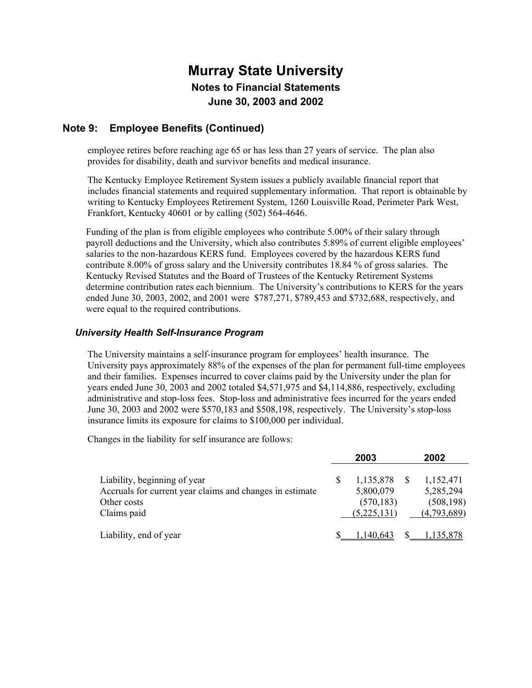### **Note 9: Employee Benefits (Continued)**

employee retires before reaching age 65 or has less than 27 years of service. The plan also provides for disability, death and survivor benefits and medical insurance.

The Kentucky Employee Retirement System issues a publicly available financial report that includes financial statements and required supplementary information. That report is obtainable by writing to Kentucky Employees Retirement System, 1260 Louisville Road, Perimeter Park West, Frankfort, Kentucky 40601 or by calling (502) 564-4646.

Funding of the plan is from eligible employees who contribute 5.00% of their salary through payroll deductions and the University, which also contributes 5.89% of current eligible employees' salaries to the non-hazardous KERS fund. Employees covered by the hazardous KERS fund contribute 8.00% of gross salary and the University contributes 18.84 % of gross salaries. The Kentucky Revised Statutes and the Board of Trustees of the Kentucky Retirement Systems determine contribution rates each biennium. The University's contributions to KERS for the years ended June 30, 2003, 2002, and 2001 were \$787,271, \$789,453 and \$732,688, respectively, and were equal to the required contributions.

#### *University Health Self-Insurance Program*

The University maintains a self-insurance program for employees' health insurance. The University pays approximately 88% of the expenses of the plan for permanent full-time employees and their families. Expenses incurred to cover claims paid by the University under the plan for years ended June 30, 2003 and 2002 totaled \$4,571,975 and \$4,114,886, respectively, excluding administrative and stop-loss fees. Stop-loss and administrative fees incurred for the years ended June 30, 2003 and 2002 were \$570,183 and \$508,198, respectively. The University's stop-loss insurance limits its exposure for claims to \$100,000 per individual.

Changes in the liability for self insurance are follows:

|                                                                                                                        | 2003 |                                                     |  | 2002                                                |  |
|------------------------------------------------------------------------------------------------------------------------|------|-----------------------------------------------------|--|-----------------------------------------------------|--|
| Liability, beginning of year<br>Accruals for current year claims and changes in estimate<br>Other costs<br>Claims paid | S    | 1,135,878<br>5,800,079<br>(570, 183)<br>(5,225,131) |  | 1,152,471<br>5,285,294<br>(508, 198)<br>(4,793,689) |  |
| Liability, end of year                                                                                                 |      | .140.643                                            |  | 1,135,878                                           |  |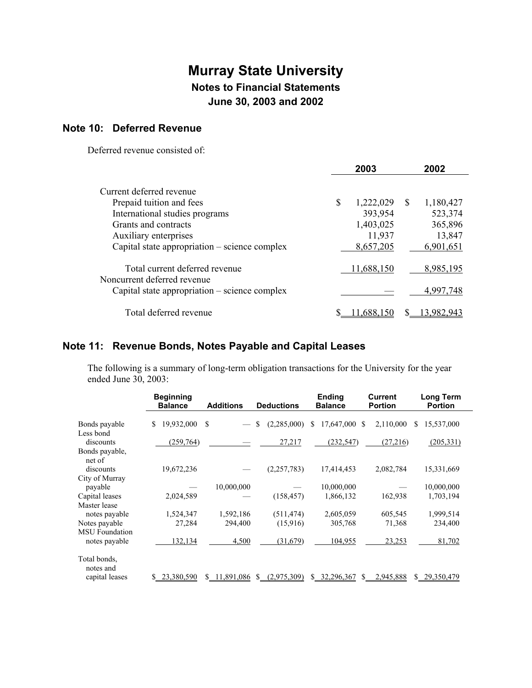### **Note 10: Deferred Revenue**

Deferred revenue consisted of:

|                                                               | 2003            | 2002            |
|---------------------------------------------------------------|-----------------|-----------------|
| Current deferred revenue                                      |                 |                 |
| Prepaid tuition and fees                                      | \$<br>1,222,029 | \$<br>1,180,427 |
| International studies programs                                | 393,954         | 523,374         |
| Grants and contracts                                          | 1,403,025       | 365,896         |
| Auxiliary enterprises                                         | 11,937          | 13,847          |
| Capital state appropriation – science complex                 | 8,657,205       | 6,901,651       |
| Total current deferred revenue<br>Noncurrent deferred revenue | 11,688,150      | 8,985,195       |
| Capital state appropriation – science complex                 |                 | 4.997.748       |
| Total deferred revenue                                        |                 |                 |

## **Note 11: Revenue Bonds, Notes Payable and Capital Leases**

The following is a summary of long-term obligation transactions for the University for the year ended June 30, 2003:

|                                        | <b>Beginning</b><br><b>Balance</b> | <b>Additions</b> | <b>Deductions</b>  | <b>Ending</b><br><b>Balance</b> | <b>Current</b><br><b>Portion</b> | Long Term<br><b>Portion</b> |
|----------------------------------------|------------------------------------|------------------|--------------------|---------------------------------|----------------------------------|-----------------------------|
| Bonds payable                          | 19,932,000<br>S                    | \$               | \$<br>(2,285,000)  | 17,647,000<br>S                 | 2,110,000<br>-S                  | 15,537,000<br>S.            |
| Less bond<br>discounts                 | (259, 764)                         |                  | 27,217             | (232, 547)                      | (27,216)                         | (205, 331)                  |
| Bonds payable,<br>net of               |                                    |                  |                    |                                 |                                  |                             |
| discounts<br>City of Murray            | 19,672,236                         |                  | (2, 257, 783)      | 17,414,453                      | 2,082,784                        | 15,331,669                  |
| payable                                |                                    | 10,000,000       |                    | 10,000,000                      |                                  | 10,000,000                  |
| Capital leases<br>Master lease         | 2,024,589                          |                  | (158, 457)         | 1,866,132                       | 162,938                          | 1,703,194                   |
| notes payable                          | 1,524,347                          | 1,592,186        | (511, 474)         | 2,605,059                       | 605,545                          | 1,999,514                   |
| Notes payable<br><b>MSU</b> Foundation | 27,284                             | 294,400          | (15,916)           | 305,768                         | 71,368                           | 234,400                     |
| notes payable                          | 132,134                            | 4,500            | (31,679)           | 104,955                         | 23,253                           | 81,702                      |
| Total bonds.<br>notes and              |                                    |                  |                    |                                 |                                  |                             |
| capital leases                         | 23,380,590                         | 11,891,086       | (2,975,309)<br>\$. | 32,296,367<br>S.                | 2,945,888<br>S                   | \$29,350,479                |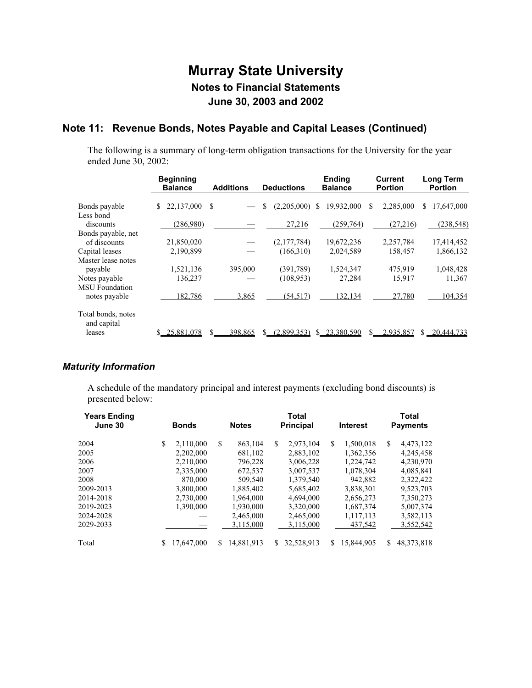## **Note 11: Revenue Bonds, Notes Payable and Capital Leases (Continued)**

The following is a summary of long-term obligation transactions for the University for the year ended June 30, 2002:

|                                   | <b>Beginning</b><br><b>Balance</b> | <b>Additions</b> | <b>Deductions</b>     | <b>Ending</b><br><b>Balance</b> | <b>Current</b><br><b>Portion</b> | <b>Long Term</b><br><b>Portion</b> |
|-----------------------------------|------------------------------------|------------------|-----------------------|---------------------------------|----------------------------------|------------------------------------|
| Bonds payable<br>Less bond        | 22,137,000<br>\$                   | S                | $(2,205,000)$ \$<br>S | 19,932,000                      | 2,285,000<br>S                   | 17,647,000<br>S.                   |
| discounts                         | (286,980)                          |                  | 27,216                | (259,764)                       | (27, 216)                        | (238, 548)                         |
| Bonds payable, net                |                                    |                  |                       |                                 |                                  |                                    |
| of discounts                      | 21,850,020                         |                  | (2,177,784)           | 19,672,236                      | 2,257,784                        | 17,414,452                         |
| Capital leases                    | 2,190,899                          |                  | (166, 310)            | 2,024,589                       | 158,457                          | 1,866,132                          |
| Master lease notes                |                                    |                  |                       |                                 |                                  |                                    |
| payable                           | 1,521,136                          | 395,000          | (391, 789)            | 1,524,347                       | 475,919                          | 1,048,428                          |
| Notes payable                     | 136,237                            |                  | (108, 953)            | 27,284                          | 15,917                           | 11,367                             |
| <b>MSU</b> Foundation             |                                    |                  |                       |                                 |                                  |                                    |
| notes payable                     | 182,786                            | 3,865            | (54, 517)             | 132,134                         | 27,780                           | 104,354                            |
| Total bonds, notes<br>and capital |                                    |                  |                       |                                 |                                  |                                    |
| leases                            | 25,881,078                         | 398,865          | (2.899.353)           | 23,380,590                      | 2,935,857<br>S.                  | 20,444,733<br>S.                   |

### *Maturity Information*

A schedule of the mandatory principal and interest payments (excluding bond discounts) is presented below:

| <b>Years Ending</b><br>June 30 | <b>Bonds</b> |           | <b>Total</b><br><b>Principal</b><br><b>Notes</b><br><b>Interest</b> |            |    |            |    | Total<br><b>Payments</b> |    |              |
|--------------------------------|--------------|-----------|---------------------------------------------------------------------|------------|----|------------|----|--------------------------|----|--------------|
|                                |              |           |                                                                     |            |    |            |    |                          |    |              |
| 2004                           | \$           | 2,110,000 | \$.                                                                 | 863.104    | \$ | 2,973,104  | S  | 1,500,018                | S. | 4,473,122    |
| 2005                           |              | 2,202,000 |                                                                     | 681,102    |    | 2,883,102  |    | 1,362,356                |    | 4,245,458    |
| 2006                           |              | 2,210,000 |                                                                     | 796,228    |    | 3,006,228  |    | 1,224,742                |    | 4,230,970    |
| 2007                           |              | 2,335,000 |                                                                     | 672,537    |    | 3,007,537  |    | 1,078,304                |    | 4,085,841    |
| 2008                           |              | 870,000   |                                                                     | 509,540    |    | 1.379.540  |    | 942,882                  |    | 2,322,422    |
| 2009-2013                      |              | 3.800,000 |                                                                     | 1.885.402  |    | 5,685,402  |    | 3,838,301                |    | 9,523,703    |
| 2014-2018                      |              | 2,730,000 |                                                                     | 1.964.000  |    | 4,694,000  |    | 2,656,273                |    | 7,350,273    |
| 2019-2023                      |              | 1,390,000 |                                                                     | 1,930,000  |    | 3,320,000  |    | 1,687,374                |    | 5,007,374    |
| 2024-2028                      |              |           |                                                                     | 2,465,000  |    | 2,465,000  |    | 1,117,113                |    | 3,582,113    |
| 2029-2033                      |              |           |                                                                     | 3.115.000  |    | 3.115.000  |    | 437,542                  |    | 3.552.542    |
| Total                          |              | .647.000  | \$.                                                                 | 14.881.913 | S. | 32,528,913 | S. | 15,844,905               | S. | 48, 373, 818 |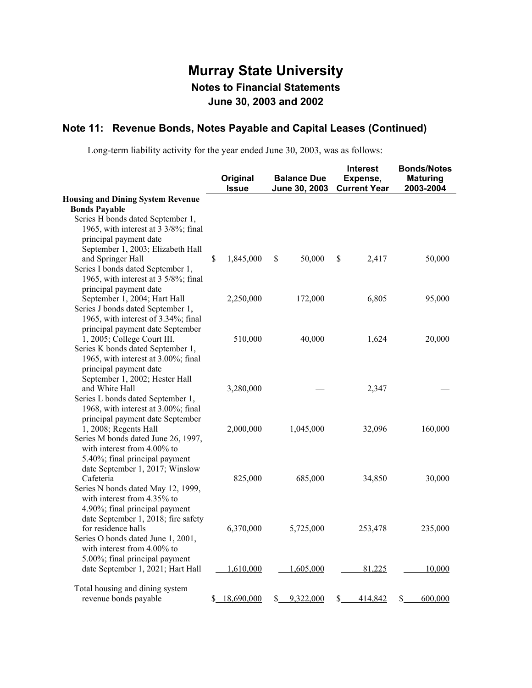### **Note 11: Revenue Bonds, Notes Payable and Capital Leases (Continued)**

Long-term liability activity for the year ended June 30, 2003, was as follows:

|                                                                | Original<br><b>Issue</b> | <b>Balance Due</b><br>June 30, 2003 | <b>Interest</b><br>Expense,<br><b>Current Year</b> | <b>Bonds/Notes</b><br><b>Maturing</b><br>2003-2004 |
|----------------------------------------------------------------|--------------------------|-------------------------------------|----------------------------------------------------|----------------------------------------------------|
| <b>Housing and Dining System Revenue</b>                       |                          |                                     |                                                    |                                                    |
| <b>Bonds Payable</b>                                           |                          |                                     |                                                    |                                                    |
| Series H bonds dated September 1,                              |                          |                                     |                                                    |                                                    |
| 1965, with interest at 3 3/8%; final<br>principal payment date |                          |                                     |                                                    |                                                    |
| September 1, 2003; Elizabeth Hall                              |                          |                                     |                                                    |                                                    |
| and Springer Hall                                              | \$<br>1,845,000          | \$<br>50,000                        | \$<br>2,417                                        | 50,000                                             |
| Series I bonds dated September 1,                              |                          |                                     |                                                    |                                                    |
| 1965, with interest at 3 5/8%; final                           |                          |                                     |                                                    |                                                    |
| principal payment date                                         |                          |                                     |                                                    |                                                    |
| September 1, 2004; Hart Hall                                   | 2,250,000                | 172,000                             | 6,805                                              | 95,000                                             |
| Series J bonds dated September 1,                              |                          |                                     |                                                    |                                                    |
| 1965, with interest of 3.34%; final                            |                          |                                     |                                                    |                                                    |
| principal payment date September                               |                          |                                     |                                                    |                                                    |
| 1, 2005; College Court III.                                    | 510,000                  | 40,000                              | 1,624                                              | 20,000                                             |
| Series K bonds dated September 1,                              |                          |                                     |                                                    |                                                    |
| 1965, with interest at 3.00%; final                            |                          |                                     |                                                    |                                                    |
| principal payment date                                         |                          |                                     |                                                    |                                                    |
| September 1, 2002; Hester Hall<br>and White Hall               | 3,280,000                |                                     | 2,347                                              |                                                    |
| Series L bonds dated September 1,                              |                          |                                     |                                                    |                                                    |
| 1968, with interest at 3.00%; final                            |                          |                                     |                                                    |                                                    |
| principal payment date September                               |                          |                                     |                                                    |                                                    |
| 1, 2008; Regents Hall                                          | 2,000,000                | 1,045,000                           | 32,096                                             | 160,000                                            |
| Series M bonds dated June 26, 1997,                            |                          |                                     |                                                    |                                                    |
| with interest from 4.00% to                                    |                          |                                     |                                                    |                                                    |
| 5.40%; final principal payment                                 |                          |                                     |                                                    |                                                    |
| date September 1, 2017; Winslow                                |                          |                                     |                                                    |                                                    |
| Cafeteria                                                      | 825,000                  | 685,000                             | 34,850                                             | 30,000                                             |
| Series N bonds dated May 12, 1999,                             |                          |                                     |                                                    |                                                    |
| with interest from 4.35% to                                    |                          |                                     |                                                    |                                                    |
| 4.90%; final principal payment                                 |                          |                                     |                                                    |                                                    |
| date September 1, 2018; fire safety                            |                          |                                     |                                                    |                                                    |
| for residence halls<br>Series O bonds dated June 1, 2001,      | 6,370,000                | 5,725,000                           | 253,478                                            | 235,000                                            |
| with interest from $4.00\%$ to                                 |                          |                                     |                                                    |                                                    |
| 5.00%; final principal payment                                 |                          |                                     |                                                    |                                                    |
| date September 1, 2021; Hart Hall                              | 1,610,000                | 1,605,000                           | 81,225                                             | 10,000                                             |
|                                                                |                          |                                     |                                                    |                                                    |
| Total housing and dining system                                |                          |                                     |                                                    |                                                    |
| revenue bonds payable                                          | \$<br>18,690,000         | \$<br>9,322,000                     | \$<br>414,842                                      | \$<br>600,000                                      |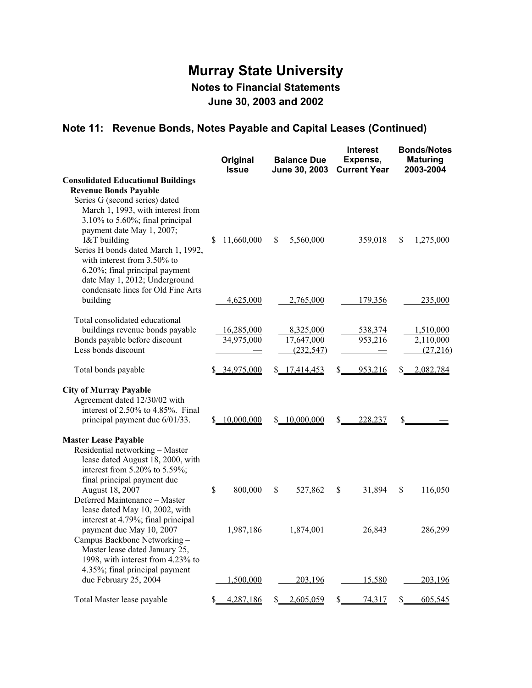# **Note 11: Revenue Bonds, Notes Payable and Capital Leases (Continued)**

|                                                                                                                                                                                                                                                                                                                                                                                  | Original<br><b>Issue</b> | <b>Balance Due</b><br>June 30, 2003   | <b>Interest</b><br>Expense,<br><b>Current Year</b> | <b>Bonds/Notes</b><br><b>Maturing</b><br>2003-2004 |
|----------------------------------------------------------------------------------------------------------------------------------------------------------------------------------------------------------------------------------------------------------------------------------------------------------------------------------------------------------------------------------|--------------------------|---------------------------------------|----------------------------------------------------|----------------------------------------------------|
| <b>Consolidated Educational Buildings</b><br><b>Revenue Bonds Payable</b><br>Series G (second series) dated<br>March 1, 1993, with interest from<br>$3.10\%$ to $5.60\%$ ; final principal<br>payment date May 1, 2007;<br>I&T building<br>Series H bonds dated March 1, 1992,<br>with interest from 3.50% to<br>6.20%; final principal payment<br>date May 1, 2012; Underground | 11,660,000<br>\$         | \$<br>5,560,000                       | 359,018                                            | \$<br>1,275,000                                    |
| condensate lines for Old Fine Arts<br>building                                                                                                                                                                                                                                                                                                                                   | 4,625,000                | 2,765,000                             | 179,356                                            | 235,000                                            |
| Total consolidated educational<br>buildings revenue bonds payable<br>Bonds payable before discount<br>Less bonds discount                                                                                                                                                                                                                                                        | 16,285,000<br>34,975,000 | 8,325,000<br>17,647,000<br>(232, 547) | 538,374<br>953,216                                 | 1,510,000<br>2,110,000<br>(27,216)                 |
| Total bonds payable                                                                                                                                                                                                                                                                                                                                                              | \$34,975,000             | \$17,414,453                          | \$<br>953,216                                      | 2,082,784<br>\$_                                   |
| <b>City of Murray Payable</b><br>Agreement dated 12/30/02 with<br>interest of 2.50% to 4.85%. Final<br>principal payment due 6/01/33.                                                                                                                                                                                                                                            | \$10,000,000             | \$10,000,000                          | S<br>228,237                                       | \$.                                                |
| <b>Master Lease Payable</b><br>Residential networking - Master<br>lease dated August 18, 2000, with<br>interest from 5.20% to 5.59%;<br>final principal payment due<br>August 18, 2007                                                                                                                                                                                           | \$<br>800,000            | $\mathbb S$<br>527,862                | \$<br>31,894                                       | \$<br>116,050                                      |
| Deferred Maintenance - Master<br>lease dated May 10, 2002, with<br>interest at 4.79%; final principal<br>payment due May 10, 2007<br>Campus Backbone Networking-<br>Master lease dated January 25,                                                                                                                                                                               | 1,987,186                | 1,874,001                             | 26,843                                             | 286,299                                            |
| 1998, with interest from 4.23% to<br>4.35%; final principal payment<br>due February 25, 2004                                                                                                                                                                                                                                                                                     | 1,500,000                | 203,196                               | 15,580                                             | 203,196                                            |
| Total Master lease payable                                                                                                                                                                                                                                                                                                                                                       | 4,287,186<br>\$          | 2,605,059<br>S.                       | $S_{-}$<br>74,317                                  | S<br>605,545                                       |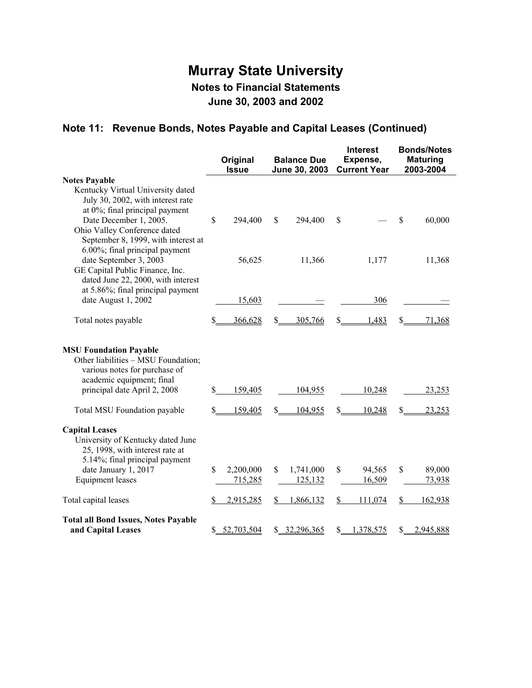# **Note 11: Revenue Bonds, Notes Payable and Capital Leases (Continued)**

|                                                                                                                                      |    | Original<br><b>Issue</b> | <b>Balance Due</b><br>June 30, 2003 |               | <b>Interest</b><br>Expense,<br><b>Current Year</b> | <b>Bonds/Notes</b><br><b>Maturing</b><br>2003-2004 |           |
|--------------------------------------------------------------------------------------------------------------------------------------|----|--------------------------|-------------------------------------|---------------|----------------------------------------------------|----------------------------------------------------|-----------|
| <b>Notes Payable</b>                                                                                                                 |    |                          |                                     |               |                                                    |                                                    |           |
| Kentucky Virtual University dated<br>July 30, 2002, with interest rate<br>at 0%; final principal payment                             |    |                          |                                     |               |                                                    |                                                    |           |
| Date December 1, 2005.<br>Ohio Valley Conference dated<br>September 8, 1999, with interest at<br>6.00%; final principal payment      | \$ | 294,400                  | \$<br>294,400                       | \$            |                                                    | $\boldsymbol{\mathsf{S}}$                          | 60,000    |
| date September 3, 2003<br>GE Capital Public Finance, Inc.<br>dated June 22, 2000, with interest<br>at 5.86%; final principal payment |    | 56,625                   | 11,366                              |               | 1,177                                              |                                                    | 11,368    |
| date August 1, 2002                                                                                                                  |    | 15,603                   |                                     |               | 306                                                |                                                    |           |
| Total notes payable                                                                                                                  | S  | 366,628                  | \$<br>305,766                       | \$            | 1,483                                              | \$                                                 | 71,368    |
| <b>MSU Foundation Payable</b><br>Other liabilities - MSU Foundation;<br>various notes for purchase of<br>academic equipment; final   |    |                          |                                     |               |                                                    |                                                    |           |
| principal date April 2, 2008                                                                                                         | S  | 159,405                  | 104,955                             |               | 10,248                                             |                                                    | 23,253    |
| Total MSU Foundation payable                                                                                                         | \$ | 159,405                  | \$<br>104,955                       | \$            | 10,248                                             | \$                                                 | 23,253    |
| <b>Capital Leases</b><br>University of Kentucky dated June<br>25, 1998, with interest rate at<br>5.14%; final principal payment      |    |                          |                                     |               |                                                    |                                                    |           |
| date January 1, 2017                                                                                                                 | \$ | 2,200,000                | \$<br>1,741,000                     | \$            | 94,565                                             | \$                                                 | 89,000    |
| <b>Equipment</b> leases                                                                                                              |    | 715,285                  | 125,132                             |               | 16,509                                             |                                                    | 73,938    |
| Total capital leases                                                                                                                 |    | 2,915,285                | \$<br>1,866,132                     | $\frac{1}{2}$ | 111,074                                            | $\mathbf{\underline{\$}}$                          | 162,938   |
| <b>Total all Bond Issues, Notes Payable</b><br>and Capital Leases                                                                    |    | \$ 52,703,504            | \$2,296,365                         | \$            | 1,378,575                                          | \$                                                 | 2,945,888 |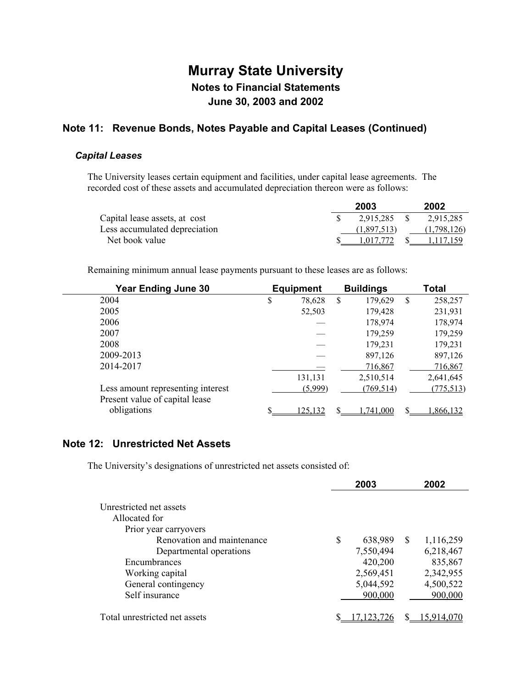### **Note 11: Revenue Bonds, Notes Payable and Capital Leases (Continued)**

#### *Capital Leases*

The University leases certain equipment and facilities, under capital lease agreements. The recorded cost of these assets and accumulated depreciation thereon were as follows:

|                               | 2003         | 2002         |
|-------------------------------|--------------|--------------|
| Capital lease assets, at cost | 2.915.285 \$ | 2,915,285    |
| Less accumulated depreciation | (1,897,513)  | (1,798,126)  |
| Net book value                | 1.017.772    | \$ 1.117.159 |

Remaining minimum annual lease payments pursuant to these leases are as follows:

| <b>Year Ending June 30</b>        | <b>Equipment</b> |               | <b>Buildings</b> |   | Total      |
|-----------------------------------|------------------|---------------|------------------|---|------------|
| 2004                              | \$<br>78,628     | <sup>\$</sup> | 179,629          | S | 258,257    |
| 2005                              | 52,503           |               | 179,428          |   | 231,931    |
| 2006                              |                  |               | 178,974          |   | 178,974    |
| 2007                              |                  |               | 179,259          |   | 179,259    |
| 2008                              |                  |               | 179,231          |   | 179,231    |
| 2009-2013                         |                  |               | 897,126          |   | 897,126    |
| 2014-2017                         |                  |               | 716,867          |   | 716,867    |
|                                   | 131,131          |               | 2,510,514        |   | 2,641,645  |
| Less amount representing interest | (5,999)          |               | (769, 514)       |   | (775, 513) |
| Present value of capital lease    |                  |               |                  |   |            |
| obligations                       | 125.132          | \$            | 741.000          |   | .866,132   |

### **Note 12: Unrestricted Net Assets**

The University's designations of unrestricted net assets consisted of:

|                                                                                                                                            | 2003                                  |   | 2002                              |
|--------------------------------------------------------------------------------------------------------------------------------------------|---------------------------------------|---|-----------------------------------|
| Unrestricted net assets<br>Allocated for<br>Prior year carryovers<br>Renovation and maintenance<br>Departmental operations<br>Encumbrances | \$<br>638,989<br>7,550,494<br>420,200 | S | 1,116,259<br>6,218,467<br>835,867 |
| Working capital<br>General contingency<br>Self insurance                                                                                   | 2,569,451<br>5,044,592<br>900,000     |   | 2,342,955<br>4,500,522<br>900,000 |
| Total unrestricted net assets                                                                                                              |                                       |   |                                   |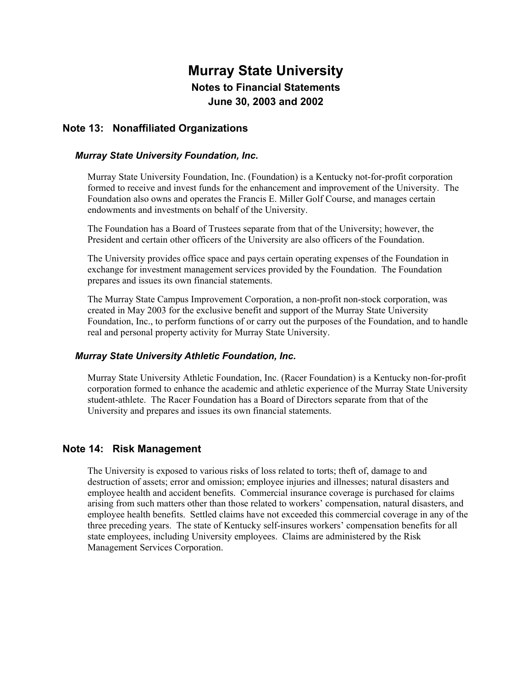### **Note 13: Nonaffiliated Organizations**

#### *Murray State University Foundation, Inc.*

Murray State University Foundation, Inc. (Foundation) is a Kentucky not-for-profit corporation formed to receive and invest funds for the enhancement and improvement of the University. The Foundation also owns and operates the Francis E. Miller Golf Course, and manages certain endowments and investments on behalf of the University.

The Foundation has a Board of Trustees separate from that of the University; however, the President and certain other officers of the University are also officers of the Foundation.

The University provides office space and pays certain operating expenses of the Foundation in exchange for investment management services provided by the Foundation. The Foundation prepares and issues its own financial statements.

The Murray State Campus Improvement Corporation, a non-profit non-stock corporation, was created in May 2003 for the exclusive benefit and support of the Murray State University Foundation, Inc., to perform functions of or carry out the purposes of the Foundation, and to handle real and personal property activity for Murray State University.

#### *Murray State University Athletic Foundation, Inc.*

Murray State University Athletic Foundation, Inc. (Racer Foundation) is a Kentucky non-for-profit corporation formed to enhance the academic and athletic experience of the Murray State University student-athlete. The Racer Foundation has a Board of Directors separate from that of the University and prepares and issues its own financial statements.

### **Note 14: Risk Management**

The University is exposed to various risks of loss related to torts; theft of, damage to and destruction of assets; error and omission; employee injuries and illnesses; natural disasters and employee health and accident benefits. Commercial insurance coverage is purchased for claims arising from such matters other than those related to workers' compensation, natural disasters, and employee health benefits. Settled claims have not exceeded this commercial coverage in any of the three preceding years. The state of Kentucky self-insures workers' compensation benefits for all state employees, including University employees. Claims are administered by the Risk Management Services Corporation.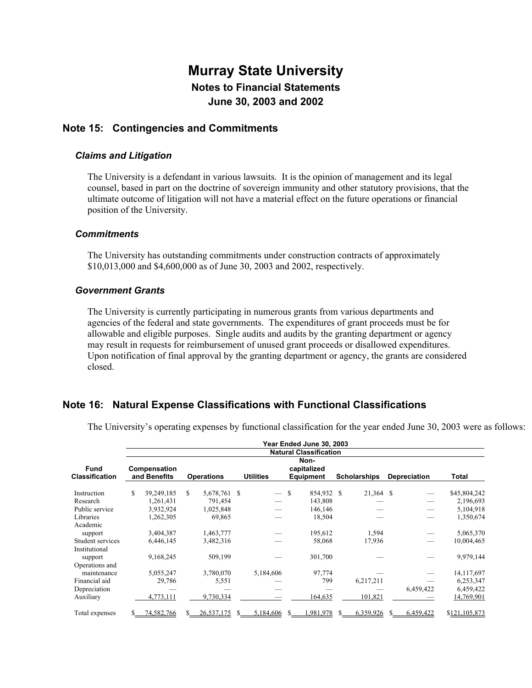### **Note 15: Contingencies and Commitments**

#### *Claims and Litigation*

The University is a defendant in various lawsuits. It is the opinion of management and its legal counsel, based in part on the doctrine of sovereign immunity and other statutory provisions, that the ultimate outcome of litigation will not have a material effect on the future operations or financial position of the University.

#### *Commitments*

The University has outstanding commitments under construction contracts of approximately \$10,013,000 and \$4,600,000 as of June 30, 2003 and 2002, respectively.

#### *Government Grants*

The University is currently participating in numerous grants from various departments and agencies of the federal and state governments. The expenditures of grant proceeds must be for allowable and eligible purposes. Single audits and audits by the granting department or agency may result in requests for reimbursement of unused grant proceeds or disallowed expenditures. Upon notification of final approval by the granting department or agency, the grants are considered closed.

### **Note 16: Natural Expense Classifications with Functional Classifications**

The University's operating expenses by functional classification for the year ended June 30, 2003 were as follows:

|                                      | Year Ended June 30, 2003<br><b>Natural Classification</b> |            |    |              |   |                               |   |                                  |                     |                     |       |           |               |  |
|--------------------------------------|-----------------------------------------------------------|------------|----|--------------|---|-------------------------------|---|----------------------------------|---------------------|---------------------|-------|-----------|---------------|--|
| <b>Fund</b><br><b>Classification</b> | Compensation<br>and Benefits<br><b>Operations</b>         |            |    |              |   | <b>Utilities</b>              |   | Non-<br>capitalized<br>Equipment | <b>Depreciation</b> |                     | Total |           |               |  |
|                                      |                                                           |            |    |              |   |                               |   |                                  |                     | <b>Scholarships</b> |       |           |               |  |
| Instruction                          | S                                                         | 39,249,185 | S. | 5,678,761 \$ |   | $\overbrace{\phantom{aaaaa}}$ | S | 854,932 \$                       |                     | 21,364 \$           |       |           | \$45,804,242  |  |
| Research                             |                                                           | 1,261,431  |    | 791,454      |   |                               |   | 143,808                          |                     |                     |       |           | 2,196,693     |  |
| Public service                       |                                                           | 3,932,924  |    | 1,025,848    |   |                               |   | 146,146                          |                     |                     |       |           | 5,104,918     |  |
| Libraries                            |                                                           | 1,262,305  |    | 69,865       |   |                               |   | 18,504                           |                     |                     |       |           | 1,350,674     |  |
| Academic                             |                                                           |            |    |              |   |                               |   |                                  |                     |                     |       |           |               |  |
| support                              |                                                           | 3,404,387  |    | 1,463,777    |   |                               |   | 195,612                          |                     | 1,594               |       |           | 5,065,370     |  |
| Student services                     |                                                           | 6,446,145  |    | 3,482,316    |   |                               |   | 58,068                           |                     | 17,936              |       |           | 10,004,465    |  |
| Institutional                        |                                                           |            |    |              |   |                               |   |                                  |                     |                     |       |           |               |  |
| support                              |                                                           | 9,168,245  |    | 509,199      |   |                               |   | 301,700                          |                     |                     |       |           | 9,979,144     |  |
| Operations and                       |                                                           |            |    |              |   |                               |   |                                  |                     |                     |       |           |               |  |
| maintenance                          |                                                           | 5,055,247  |    | 3,780,070    |   | 5,184,606                     |   | 97,774                           |                     |                     |       |           | 14,117,697    |  |
| Financial aid                        |                                                           | 29,786     |    | 5,551        |   |                               |   | 799                              |                     | 6,217,211           |       |           | 6,253,347     |  |
| Depreciation                         |                                                           |            |    |              |   |                               |   |                                  |                     |                     |       | 6,459,422 | 6,459,422     |  |
| Auxiliary                            |                                                           | 4,773,111  |    | 9,730,334    |   |                               |   | 164,635                          |                     | 101,821             |       |           | 14,769,901    |  |
| Total expenses                       |                                                           | 74,582,766 |    | 26,537,175   | S | 5,184,606                     |   | .981,978                         | S                   | 6,359,926           |       | 6,459,422 | \$121,105,873 |  |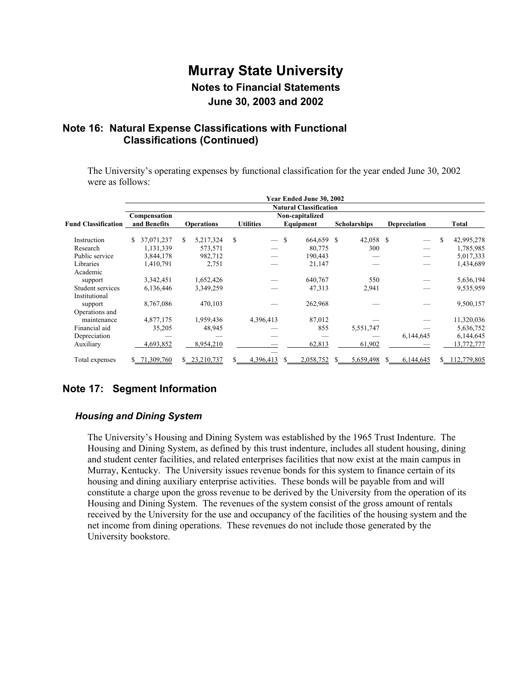### **Note 16: Natural Expense Classifications with Functional Classifications (Continued)**

The University's operating expenses by functional classification for the year ended June 30, 2002 were as follows:

|                            |                              |                   |                                | Year Ended June 30, 2002      |                     |                     |                  |
|----------------------------|------------------------------|-------------------|--------------------------------|-------------------------------|---------------------|---------------------|------------------|
|                            |                              |                   |                                | <b>Natural Classification</b> |                     |                     |                  |
| <b>Fund Classification</b> | Compensation<br>and Benefits | <b>Operations</b> | <b>Utilities</b>               | Non-capitalized<br>Equipment  | <b>Scholarships</b> | <b>Depreciation</b> | Total            |
| Instruction                | 37,071,237<br>S.             | S.<br>5,217,324   | \$<br>$\overline{\phantom{0}}$ | <sup>\$</sup><br>664,659 \$   | 42,058 \$           |                     | 42,995,278<br>\$ |
| Research                   | 1,131,339                    | 573,571           |                                | 80,775                        | 300                 |                     | 1,785,985        |
| Public service             | 3,844,178                    | 982,712           |                                | 190,443                       |                     |                     | 5,017,333        |
| Libraries                  | 1,410,791                    | 2,751             |                                | 21,147                        |                     |                     | 1,434,689        |
| Academic                   |                              |                   |                                |                               |                     |                     |                  |
| support                    | 3,342,451                    | 1,652,426         |                                | 640,767                       | 550                 |                     | 5,636,194        |
| Student services           | 6,136,446                    | 3,349,259         |                                | 47,313                        | 2,941               |                     | 9,535,959        |
| Institutional              |                              |                   |                                |                               |                     |                     |                  |
| support                    | 8,767,086                    | 470,103           |                                | 262,968                       |                     |                     | 9,500,157        |
| Operations and             |                              |                   |                                |                               |                     |                     |                  |
| maintenance                | 4,877,175                    | 1,959,436         | 4,396,413                      | 87,012                        |                     |                     | 11,320,036       |
| Financial aid              | 35,205                       | 48,945            |                                | 855                           | 5,551,747           |                     | 5,636,752        |
| Depreciation               |                              |                   |                                |                               |                     | 6,144,645           | 6,144,645        |
| Auxiliary                  | 4,693,852                    | 8,954,210         |                                | 62,813                        | 61,902              |                     | 13,772,777       |
|                            |                              |                   |                                |                               |                     |                     |                  |
| Total expenses             | \$71,309,760                 | 23,210,737<br>S.  | 4,396,413                      | 2,058,752                     | 5,659,498           | 6,144,645           | 112,779,805      |

## **Note 17: Segment Information**

### *Housing and Dining System*

The University's Housing and Dining System was established by the 1965 Trust Indenture. The Housing and Dining System, as defined by this trust indenture, includes all student housing, dining and student center facilities, and related enterprises facilities that now exist at the main campus in Murray, Kentucky. The University issues revenue bonds for this system to finance certain of its housing and dining auxiliary enterprise activities. These bonds will be payable from and will constitute a charge upon the gross revenue to be derived by the University from the operation of its Housing and Dining System. The revenues of the system consist of the gross amount of rentals received by the University for the use and occupancy of the facilities of the housing system and the net income from dining operations. These revenues do not include those generated by the University bookstore.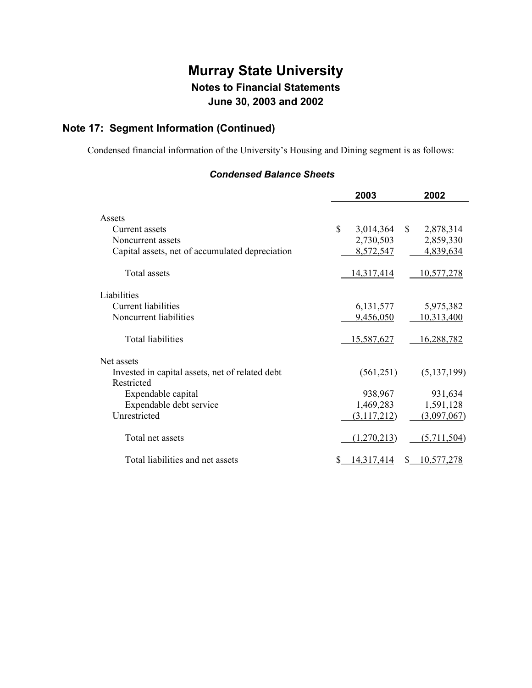# **Note 17: Segment Information (Continued)**

Condensed financial information of the University's Housing and Dining segment is as follows:

### *Condensed Balance Sheets*

|                                                 | 2003                      | 2002                   |
|-------------------------------------------------|---------------------------|------------------------|
| Assets                                          |                           |                        |
| Current assets                                  | $\mathbb{S}$<br>3,014,364 | $\mathbb{S}$           |
|                                                 |                           | 2,878,314              |
| Noncurrent assets                               | 2,730,503                 | 2,859,330              |
| Capital assets, net of accumulated depreciation | 8,572,547                 | 4,839,634              |
| Total assets                                    | 14,317,414                | 10,577,278             |
| Liabilities                                     |                           |                        |
| <b>Current liabilities</b>                      | 6, 131, 577               | 5,975,382              |
| Noncurrent liabilities                          | 9,456,050                 | 10,313,400             |
| <b>Total liabilities</b>                        | 15,587,627                | 16,288,782             |
| Net assets                                      |                           |                        |
| Invested in capital assets, net of related debt | (561,251)                 | (5, 137, 199)          |
| Restricted                                      |                           |                        |
| Expendable capital                              | 938,967                   | 931,634                |
| Expendable debt service                         | 1,469,283                 | 1,591,128              |
| Unrestricted                                    | (3,117,212)               | (3,097,067)            |
|                                                 |                           |                        |
| Total net assets                                | (1,270,213)               | (5,711,504)            |
| Total liabilities and net assets                | <u>14,317,414</u>         | <u>10,577,278</u><br>S |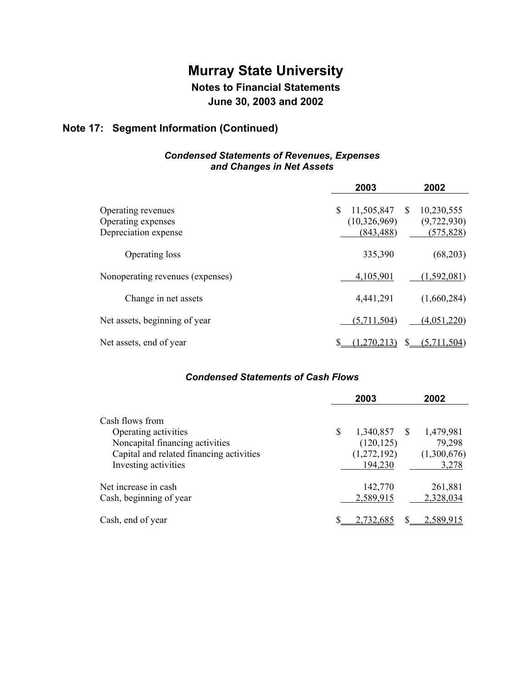# **Murray State University**

# **Notes to Financial Statements**

**June 30, 2003 and 2002** 

# **Note 17: Segment Information (Continued)**

### *Condensed Statements of Revenues, Expenses and Changes in Net Assets*

|                                                                  | 2003                                           | 2002                                         |
|------------------------------------------------------------------|------------------------------------------------|----------------------------------------------|
| Operating revenues<br>Operating expenses<br>Depreciation expense | \$<br>11,505,847<br>(10,326,969)<br>(843, 488) | S<br>10,230,555<br>(9,722,930)<br>(575, 828) |
| Operating loss                                                   | 335,390                                        | (68,203)                                     |
| Nonoperating revenues (expenses)                                 | 4,105,901                                      | (1, 592, 081)                                |
| Change in net assets                                             | 4,441,291                                      | (1,660,284)                                  |
| Net assets, beginning of year                                    | (5,711,504)                                    | (4,051,220)                                  |
| Net assets, end of year                                          | ,270,213)                                      | S<br>(5,711,504)                             |

### *Condensed Statements of Cash Flows*

|                                                                                                                                                | 2003                                                       | 2002                                        |
|------------------------------------------------------------------------------------------------------------------------------------------------|------------------------------------------------------------|---------------------------------------------|
| Cash flows from<br>Operating activities<br>Noncapital financing activities<br>Capital and related financing activities<br>Investing activities | \$<br>1,340,857 \$<br>(120, 125)<br>(1,272,192)<br>194,230 | 1,479,981<br>79,298<br>(1,300,676)<br>3,278 |
| Net increase in cash<br>Cash, beginning of year                                                                                                | 142,770<br>2,589,915                                       | 261,881<br>2,328,034                        |
| Cash, end of year                                                                                                                              | 2.732.68                                                   | 2.589.91                                    |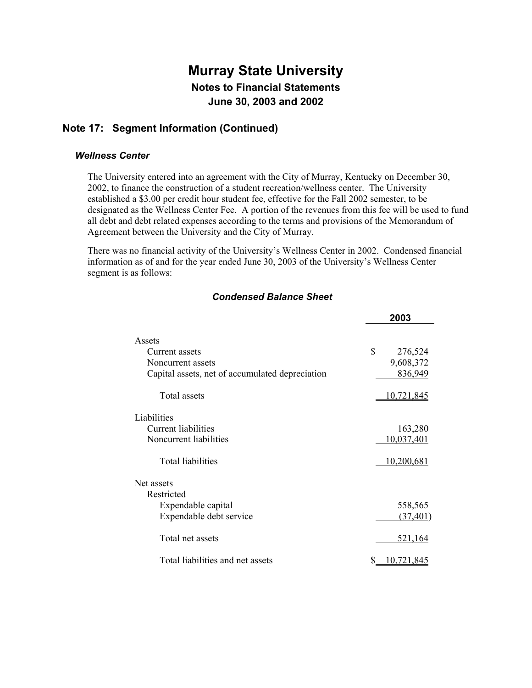## **Note 17: Segment Information (Continued)**

#### *Wellness Center*

The University entered into an agreement with the City of Murray, Kentucky on December 30, 2002, to finance the construction of a student recreation/wellness center. The University established a \$3.00 per credit hour student fee, effective for the Fall 2002 semester, to be designated as the Wellness Center Fee. A portion of the revenues from this fee will be used to fund all debt and debt related expenses according to the terms and provisions of the Memorandum of Agreement between the University and the City of Murray.

There was no financial activity of the University's Wellness Center in 2002. Condensed financial information as of and for the year ended June 30, 2003 of the University's Wellness Center segment is as follows:

|                                                 | 2003          |
|-------------------------------------------------|---------------|
| Assets                                          |               |
| Current assets                                  | \$<br>276,524 |
| Noncurrent assets                               | 9,608,372     |
| Capital assets, net of accumulated depreciation | 836,949       |
| <b>Total assets</b>                             | 10,721,845    |
| Liabilities                                     |               |
| Current liabilities                             | 163,280       |
| Noncurrent liabilities                          | 10,037,401    |
| <b>Total liabilities</b>                        | 10,200,681    |
| Net assets                                      |               |
| Restricted                                      |               |
| Expendable capital                              | 558,565       |
| Expendable debt service                         | (37, 401)     |
| Total net assets                                | 521,164       |
| Total liabilities and net assets                | 0.721.845     |

### *Condensed Balance Sheet*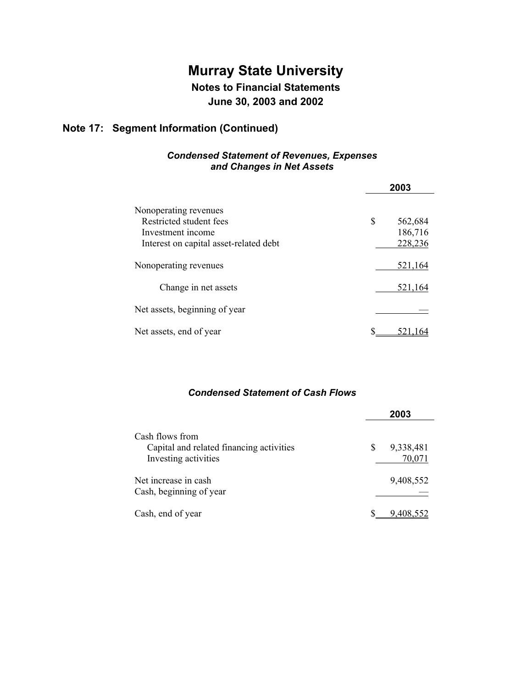# **Murray State University Notes to Financial Statements**

**June 30, 2003 and 2002** 

# **Note 17: Segment Information (Continued)**

### *Condensed Statement of Revenues, Expenses and Changes in Net Assets*

|                                                                       | 2003                     |  |
|-----------------------------------------------------------------------|--------------------------|--|
| Nonoperating revenues<br>Restricted student fees<br>Investment income | \$<br>562,684<br>186,716 |  |
| Interest on capital asset-related debt                                | 228,236                  |  |
| Nonoperating revenues                                                 | 521,164                  |  |
| Change in net assets                                                  | 521,164                  |  |
| Net assets, beginning of year                                         |                          |  |
| Net assets, end of year                                               |                          |  |

### *Condensed Statement of Cash Flows*

|                                                                                     | 2003 |                     |
|-------------------------------------------------------------------------------------|------|---------------------|
| Cash flows from<br>Capital and related financing activities<br>Investing activities | S    | 9,338,481<br>70,071 |
| Net increase in cash<br>Cash, beginning of year                                     |      | 9,408,552           |
| Cash, end of year                                                                   |      | 9,408,552           |